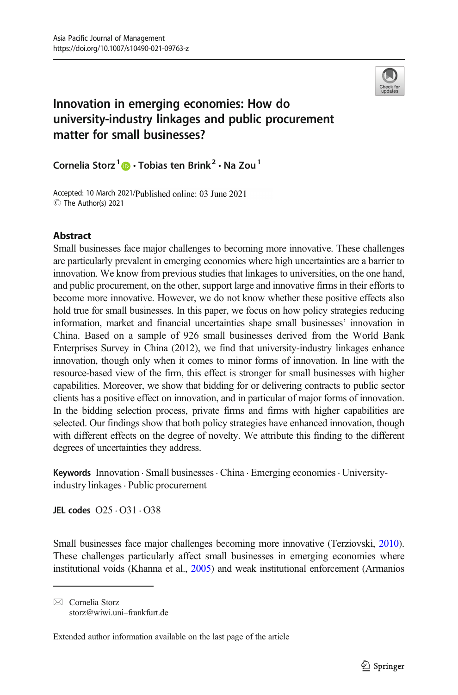

# Innovation in emerging economies: How do university-industry linkages and public procurement matter for small businesses?

Cornelia Storz<sup>1</sup>  $\bullet$  · Tobias ten Brink<sup>2</sup> · Na Zou<sup>1</sup>

Accepted: 10 March 2021/Published online: 03 June 2021 C The Author(s) 2021

## Abstract

Small businesses face major challenges to becoming more innovative. These challenges are particularly prevalent in emerging economies where high uncertainties are a barrier to innovation. We know from previous studies that linkages to universities, on the one hand, and public procurement, on the other, support large and innovative firms in their efforts to become more innovative. However, we do not know whether these positive effects also hold true for small businesses. In this paper, we focus on how policy strategies reducing information, market and financial uncertainties shape small businesses' innovation in China. Based on a sample of 926 small businesses derived from the World Bank Enterprises Survey in China (2012), we find that university-industry linkages enhance innovation, though only when it comes to minor forms of innovation. In line with the resource-based view of the firm, this effect is stronger for small businesses with higher capabilities. Moreover, we show that bidding for or delivering contracts to public sector clients has a positive effect on innovation, and in particular of major forms of innovation. In the bidding selection process, private firms and firms with higher capabilities are selected. Our findings show that both policy strategies have enhanced innovation, though with different effects on the degree of novelty. We attribute this finding to the different degrees of uncertainties they address.

Keywords Innovation · Small businesses · China · Emerging economies · Universityindustry linkages. Public procurement

JEL codes  $O25 \cdot O31 \cdot O38$ 

Small businesses face major challenges becoming more innovative (Terziovski, [2010\)](#page-40-0). These challenges particularly affect small businesses in emerging economies where institutional voids (Khanna et al., [2005\)](#page-38-0) and weak institutional enforcement (Armanios

Extended author information available on the last page of the article

 $\boxtimes$  Cornelia Storz [storz@wiwi.uni](mailto:storz@wiwi.uni-frankfurt.de)–frankfurt.de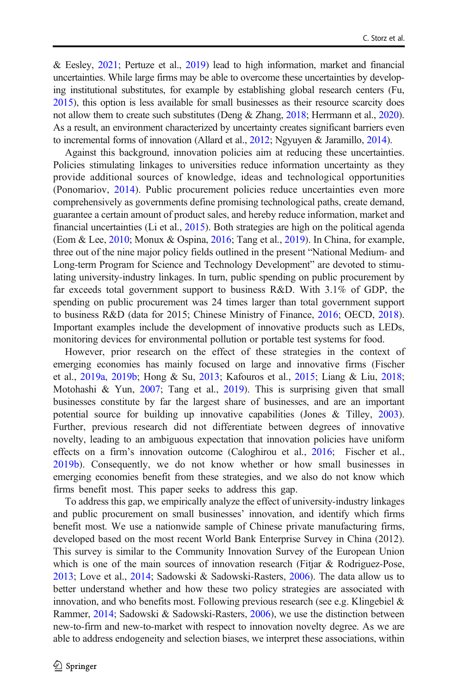& Eesley, [2021](#page-36-0); Pertuze et al., [2019](#page-39-0)) lead to high information, market and financial uncertainties. While large firms may be able to overcome these uncertainties by developing institutional substitutes, for example by establishing global research centers (Fu, [2015](#page-38-0)), this option is less available for small businesses as their resource scarcity does not allow them to create such substitutes (Deng & Zhang, [2018;](#page-37-0) Herrmann et al., [2020\)](#page-38-0). As a result, an environment characterized by uncertainty creates significant barriers even to incremental forms of innovation (Allard et al., [2012;](#page-36-0) Ngyuyen & Jaramillo, [2014](#page-39-0)).

Against this background, innovation policies aim at reducing these uncertainties. Policies stimulating linkages to universities reduce information uncertainty as they provide additional sources of knowledge, ideas and technological opportunities (Ponomariov, [2014\)](#page-39-0). Public procurement policies reduce uncertainties even more comprehensively as governments define promising technological paths, create demand, guarantee a certain amount of product sales, and hereby reduce information, market and financial uncertainties (Li et al., [2015\)](#page-39-0). Both strategies are high on the political agenda (Eom & Lee, [2010](#page-37-0); Monux & Ospina, [2016](#page-39-0); Tang et al., [2019\)](#page-40-0). In China, for example, three out of the nine major policy fields outlined in the present "National Medium- and Long-term Program for Science and Technology Development" are devoted to stimulating university-industry linkages. In turn, public spending on public procurement by far exceeds total government support to business R&D. With 3.1% of GDP, the spending on public procurement was 24 times larger than total government support to business R&D (data for 2015; Chinese Ministry of Finance, [2016;](#page-37-0) OECD, [2018\)](#page-39-0). Important examples include the development of innovative products such as LEDs, monitoring devices for environmental pollution or portable test systems for food.

However, prior research on the effect of these strategies in the context of emerging economies has mainly focused on large and innovative firms (Fischer et al., [2019a,](#page-37-0) [2019b;](#page-38-0) Hong & Su, [2013;](#page-38-0) Kafouros et al., [2015](#page-38-0); Liang & Liu, [2018;](#page-39-0) Motohashi & Yun, [2007;](#page-39-0) Tang et al., [2019](#page-40-0)). This is surprising given that small businesses constitute by far the largest share of businesses, and are an important potential source for building up innovative capabilities (Jones & Tilley, [2003\)](#page-38-0). Further, previous research did not differentiate between degrees of innovative novelty, leading to an ambiguous expectation that innovation policies have uniform effects on a firm's innovation outcome (Caloghirou et al., [2016;](#page-37-0) Fischer et al., [2019b\)](#page-38-0). Consequently, we do not know whether or how small businesses in emerging economies benefit from these strategies, and we also do not know which firms benefit most. This paper seeks to address this gap.

To address this gap, we empirically analyze the effect of university-industry linkages and public procurement on small businesses' innovation, and identify which firms benefit most. We use a nationwide sample of Chinese private manufacturing firms, developed based on the most recent World Bank Enterprise Survey in China (2012). This survey is similar to the Community Innovation Survey of the European Union which is one of the main sources of innovation research (Fitjar & Rodriguez-Pose, [2013;](#page-38-0) Love et al., [2014;](#page-39-0) Sadowski & Sadowski-Rasters, [2006](#page-40-0)). The data allow us to better understand whether and how these two policy strategies are associated with innovation, and who benefits most. Following previous research (see e.g. Klingebiel  $\&$ Rammer, [2014](#page-38-0); Sadowski & Sadowski-Rasters, [2006\)](#page-40-0), we use the distinction between new-to-firm and new-to-market with respect to innovation novelty degree. As we are able to address endogeneity and selection biases, we interpret these associations, within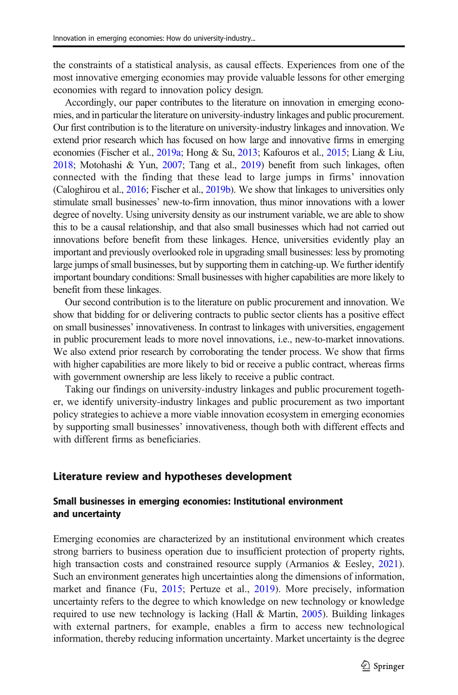the constraints of a statistical analysis, as causal effects. Experiences from one of the most innovative emerging economies may provide valuable lessons for other emerging economies with regard to innovation policy design.

Accordingly, our paper contributes to the literature on innovation in emerging economies, and in particular the literature on university-industry linkages and public procurement. Our first contribution is to the literature on university-industry linkages and innovation. We extend prior research which has focused on how large and innovative firms in emerging economies (Fischer et al., [2019a](#page-37-0); Hong & Su, [2013](#page-38-0); Kafouros et al., [2015;](#page-38-0) Liang & Liu, [2018](#page-39-0); Motohashi & Yun, [2007;](#page-39-0) Tang et al., [2019](#page-40-0)) benefit from such linkages, often connected with the finding that these lead to large jumps in firms' innovation (Caloghirou et al., [2016](#page-37-0); Fischer et al., [2019b](#page-38-0)). We show that linkages to universities only stimulate small businesses' new-to-firm innovation, thus minor innovations with a lower degree of novelty. Using university density as our instrument variable, we are able to show this to be a causal relationship, and that also small businesses which had not carried out innovations before benefit from these linkages. Hence, universities evidently play an important and previously overlooked role in upgrading small businesses: less by promoting large jumps of small businesses, but by supporting them in catching-up. We further identify important boundary conditions: Small businesses with higher capabilities are more likely to benefit from these linkages.

Our second contribution is to the literature on public procurement and innovation. We show that bidding for or delivering contracts to public sector clients has a positive effect on small businesses' innovativeness. In contrast to linkages with universities, engagement in public procurement leads to more novel innovations, i.e., new-to-market innovations. We also extend prior research by corroborating the tender process. We show that firms with higher capabilities are more likely to bid or receive a public contract, whereas firms with government ownership are less likely to receive a public contract.

Taking our findings on university-industry linkages and public procurement together, we identify university-industry linkages and public procurement as two important policy strategies to achieve a more viable innovation ecosystem in emerging economies by supporting small businesses' innovativeness, though both with different effects and with different firms as beneficiaries.

## Literature review and hypotheses development

## Small businesses in emerging economies: Institutional environment and uncertainty

Emerging economies are characterized by an institutional environment which creates strong barriers to business operation due to insufficient protection of property rights, high transaction costs and constrained resource supply (Armanios & Eesley, [2021\)](#page-36-0). Such an environment generates high uncertainties along the dimensions of information, market and finance (Fu, [2015](#page-38-0); Pertuze et al., [2019\)](#page-39-0). More precisely, information uncertainty refers to the degree to which knowledge on new technology or knowledge required to use new technology is lacking (Hall & Martin, [2005](#page-38-0)). Building linkages with external partners, for example, enables a firm to access new technological information, thereby reducing information uncertainty. Market uncertainty is the degree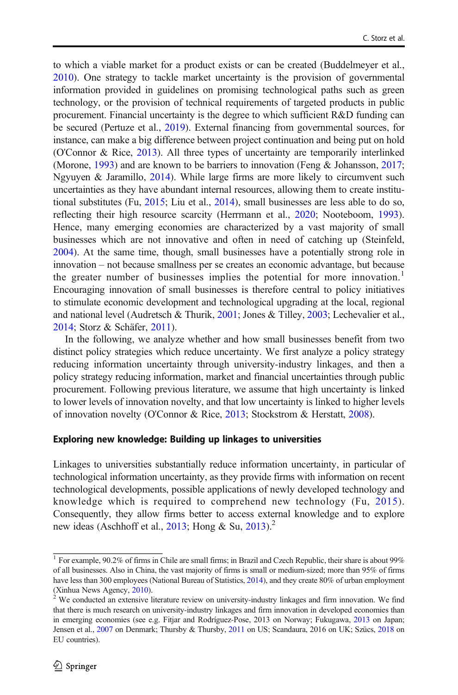to which a viable market for a product exists or can be created (Buddelmeyer et al., [2010\)](#page-37-0). One strategy to tackle market uncertainty is the provision of governmental information provided in guidelines on promising technological paths such as green technology, or the provision of technical requirements of targeted products in public procurement. Financial uncertainty is the degree to which sufficient R&D funding can be secured (Pertuze et al., [2019\)](#page-39-0). External financing from governmental sources, for instance, can make a big difference between project continuation and being put on hold (O'Connor & Rice, [2013\)](#page-39-0). All three types of uncertainty are temporarily interlinked (Morone, [1993\)](#page-39-0) and are known to be barriers to innovation (Feng & Johansson, [2017;](#page-37-0) Ngyuyen & Jaramillo, [2014\)](#page-39-0). While large firms are more likely to circumvent such uncertainties as they have abundant internal resources, allowing them to create institutional substitutes (Fu, [2015](#page-38-0); Liu et al., [2014](#page-39-0)), small businesses are less able to do so, reflecting their high resource scarcity (Herrmann et al., [2020;](#page-38-0) Nooteboom, [1993\)](#page-39-0). Hence, many emerging economies are characterized by a vast majority of small businesses which are not innovative and often in need of catching up (Steinfeld, [2004\)](#page-40-0). At the same time, though, small businesses have a potentially strong role in innovation – not because smallness per se creates an economic advantage, but because the greater number of businesses implies the potential for more innovation.<sup>1</sup> Encouraging innovation of small businesses is therefore central to policy initiatives to stimulate economic development and technological upgrading at the local, regional and national level (Audretsch & Thurik, [2001](#page-37-0); Jones & Tilley, [2003](#page-38-0); Lechevalier et al., [2014;](#page-39-0) Storz & Schäfer, [2011](#page-40-0)).

In the following, we analyze whether and how small businesses benefit from two distinct policy strategies which reduce uncertainty. We first analyze a policy strategy reducing information uncertainty through university-industry linkages, and then a policy strategy reducing information, market and financial uncertainties through public procurement. Following previous literature, we assume that high uncertainty is linked to lower levels of innovation novelty, and that low uncertainty is linked to higher levels of innovation novelty (O'Connor & Rice, [2013;](#page-39-0) Stockstrom & Herstatt, [2008](#page-40-0)).

#### Exploring new knowledge: Building up linkages to universities

Linkages to universities substantially reduce information uncertainty, in particular of technological information uncertainty, as they provide firms with information on recent technological developments, possible applications of newly developed technology and knowledge which is required to comprehend new technology (Fu, [2015](#page-38-0)). Consequently, they allow firms better to access external knowledge and to explore new ideas (Aschhoff et al.,  $2013$ ; Hong & Su,  $2013$ ).<sup>2</sup>

<sup>&</sup>lt;sup>1</sup> For example, 90.2% of firms in Chile are small firms; in Brazil and Czech Republic, their share is about 99% of all businesses. Also in China, the vast majority of firms is small or medium-sized; more than 95% of firms have less than 300 employees (National Bureau of Statistics, [2014\)](#page-39-0), and they create 80% of urban employment (Xinhua News Agency,  $2010$ ).<br><sup>2</sup> We conducted an extensive literature review on university-industry linkages and firm innovation. We find

that there is much research on university-industry linkages and firm innovation in developed economies than in emerging economies (see e.g. Fitjar and Rodríguez-Pose, 2013 on Norway; Fukugawa, [2013](#page-38-0) on Japan; Jensen et al., [2007](#page-38-0) on Denmark; Thursby & Thursby, [2011](#page-40-0) on US; Scandaura, 2016 on UK; Szücs, [2018](#page-40-0) on EU countries).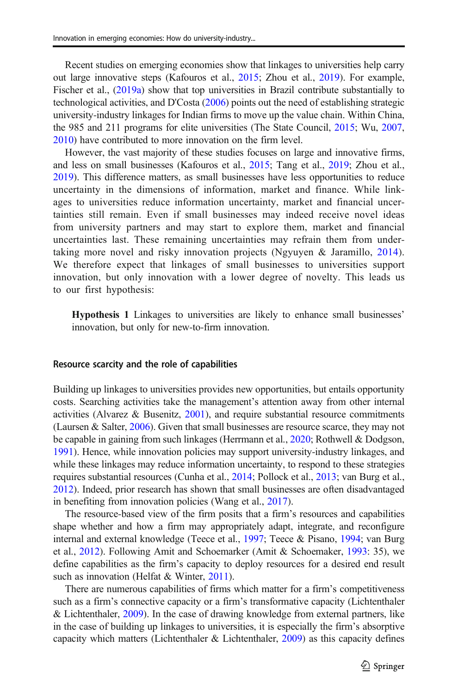Recent studies on emerging economies show that linkages to universities help carry out large innovative steps (Kafouros et al., [2015](#page-38-0); Zhou et al., [2019\)](#page-41-0). For example, Fischer et al., ([2019a](#page-37-0)) show that top universities in Brazil contribute substantially to technological activities, and D'Costa [\(2006\)](#page-37-0) points out the need of establishing strategic university-industry linkages for Indian firms to move up the value chain. Within China, the 985 and 211 programs for elite universities (The State Council, [2015;](#page-40-0) Wu, [2007,](#page-40-0) [2010\)](#page-40-0) have contributed to more innovation on the firm level.

However, the vast majority of these studies focuses on large and innovative firms, and less on small businesses (Kafouros et al., [2015;](#page-38-0) Tang et al., [2019;](#page-40-0) Zhou et al., [2019\)](#page-41-0). This difference matters, as small businesses have less opportunities to reduce uncertainty in the dimensions of information, market and finance. While linkages to universities reduce information uncertainty, market and financial uncertainties still remain. Even if small businesses may indeed receive novel ideas from university partners and may start to explore them, market and financial uncertainties last. These remaining uncertainties may refrain them from undertaking more novel and risky innovation projects (Ngyuyen & Jaramillo, [2014\)](#page-39-0). We therefore expect that linkages of small businesses to universities support innovation, but only innovation with a lower degree of novelty. This leads us to our first hypothesis:

Hypothesis 1 Linkages to universities are likely to enhance small businesses' innovation, but only for new-to-firm innovation.

#### Resource scarcity and the role of capabilities

Building up linkages to universities provides new opportunities, but entails opportunity costs. Searching activities take the management's attention away from other internal activities (Alvarez  $\&$  Busenitz, [2001](#page-36-0)), and require substantial resource commitments (Laursen & Salter,  $2006$ ). Given that small businesses are resource scarce, they may not be capable in gaining from such linkages (Herrmann et al., [2020](#page-38-0); Rothwell & Dodgson, [1991\)](#page-40-0). Hence, while innovation policies may support university-industry linkages, and while these linkages may reduce information uncertainty, to respond to these strategies requires substantial resources (Cunha et al., [2014](#page-37-0); Pollock et al., [2013;](#page-39-0) van Burg et al., [2012\)](#page-40-0). Indeed, prior research has shown that small businesses are often disadvantaged in benefiting from innovation policies (Wang et al., [2017](#page-40-0)).

The resource-based view of the firm posits that a firm's resources and capabilities shape whether and how a firm may appropriately adapt, integrate, and reconfigure internal and external knowledge (Teece et al., [1997](#page-40-0); Teece & Pisano, [1994](#page-40-0); van Burg et al., [2012\)](#page-40-0). Following Amit and Schoemarker (Amit & Schoemaker, [1993](#page-36-0): 35), we define capabilities as the firm's capacity to deploy resources for a desired end result such as innovation (Helfat & Winter, [2011\)](#page-38-0).

There are numerous capabilities of firms which matter for a firm's competitiveness such as a firm's connective capacity or a firm's transformative capacity (Lichtenthaler & Lichtenthaler, [2009\)](#page-39-0). In the case of drawing knowledge from external partners, like in the case of building up linkages to universities, it is especially the firm's absorptive capacity which matters (Lichtenthaler & Lichtenthaler, [2009](#page-39-0)) as this capacity defines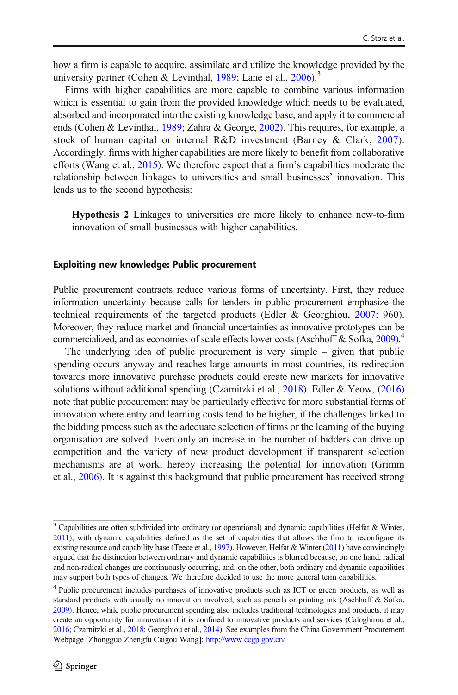how a firm is capable to acquire, assimilate and utilize the knowledge provided by the university partner (Cohen & Levinthal, [1989;](#page-37-0) Lane et al.,  $2006$ ).<sup>3</sup>

Firms with higher capabilities are more capable to combine various information which is essential to gain from the provided knowledge which needs to be evaluated, absorbed and incorporated into the existing knowledge base, and apply it to commercial ends (Cohen & Levinthal, [1989;](#page-37-0) Zahra & George, [2002](#page-41-0)). This requires, for example, a stock of human capital or internal R&D investment (Barney & Clark, [2007](#page-37-0)). Accordingly, firms with higher capabilities are more likely to benefit from collaborative efforts (Wang et al., [2015](#page-40-0)). We therefore expect that a firm's capabilities moderate the relationship between linkages to universities and small businesses' innovation. This leads us to the second hypothesis:

Hypothesis 2 Linkages to universities are more likely to enhance new-to-firm innovation of small businesses with higher capabilities.

#### Exploiting new knowledge: Public procurement

Public procurement contracts reduce various forms of uncertainty. First, they reduce information uncertainty because calls for tenders in public procurement emphasize the technical requirements of the targeted products (Edler & Georghiou, [2007:](#page-37-0) 960). Moreover, they reduce market and financial uncertainties as innovative prototypes can be commercialized, and as economies of scale effects lower costs (Aschhoff & Sofka,  $2009$ ).<sup>4</sup>

The underlying idea of public procurement is very simple – given that public spending occurs anyway and reaches large amounts in most countries, its redirection towards more innovative purchase products could create new markets for innovative solutions without additional spending (Czarnitzki et al., [2018](#page-37-0)). Edler & Yeow, ([2016](#page-37-0)) note that public procurement may be particularly effective for more substantial forms of innovation where entry and learning costs tend to be higher, if the challenges linked to the bidding process such as the adequate selection of firms or the learning of the buying organisation are solved. Even only an increase in the number of bidders can drive up competition and the variety of new product development if transparent selection mechanisms are at work, hereby increasing the potential for innovation (Grimm et al., [2006\)](#page-38-0). It is against this background that public procurement has received strong

<sup>&</sup>lt;sup>3</sup> Capabilities are often subdivided into ordinary (or operational) and dynamic capabilities (Helfat & Winter, [2011\)](#page-38-0), with dynamic capabilities defined as the set of capabilities that allows the firm to reconfigure its existing resource and capability base (Teece et al., [1997](#page-40-0)). However, Helfat & Winter [\(2011\)](#page-38-0) have convincingly argued that the distinction between ordinary and dynamic capabilities is blurred because, on one hand, radical and non-radical changes are continuously occurring, and, on the other, both ordinary and dynamic capabilities may support both types of changes. We therefore decided to use the more general term capabilities.

<sup>4</sup> Public procurement includes purchases of innovative products such as ICT or green products, as well as standard products with usually no innovation involved, such as pencils or printing ink (Aschhoff & Sofka, [2009\)](#page-36-0). Hence, while public procurement spending also includes traditional technologies and products, it may create an opportunity for innovation if it is confined to innovative products and services (Caloghirou et al., [2016;](#page-37-0) Czarnitzki et al., [2018;](#page-37-0) Georghiou et al., [2014\)](#page-38-0). See examples from the China Government Procurement Webpage [Zhongguo Zhengfu Caigou Wang]: <http://www.ccgp.gov.cn/>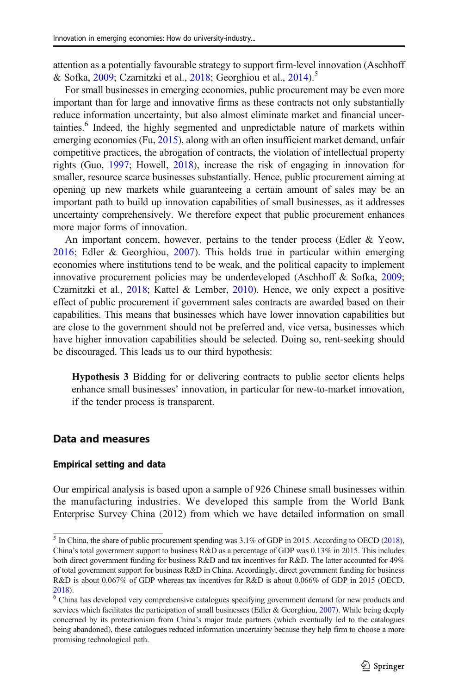attention as a potentially favourable strategy to support firm-level innovation (Aschhoff & Sofka, [2009](#page-36-0); Czarnitzki et al., [2018;](#page-37-0) Georghiou et al., [2014](#page-38-0)).5

For small businesses in emerging economies, public procurement may be even more important than for large and innovative firms as these contracts not only substantially reduce information uncertainty, but also almost eliminate market and financial uncertainties.<sup>6</sup> Indeed, the highly segmented and unpredictable nature of markets within emerging economies (Fu, [2015\)](#page-38-0), along with an often insufficient market demand, unfair competitive practices, the abrogation of contracts, the violation of intellectual property rights (Guo, [1997;](#page-38-0) Howell, [2018\)](#page-38-0), increase the risk of engaging in innovation for smaller, resource scarce businesses substantially. Hence, public procurement aiming at opening up new markets while guaranteeing a certain amount of sales may be an important path to build up innovation capabilities of small businesses, as it addresses uncertainty comprehensively. We therefore expect that public procurement enhances more major forms of innovation.

An important concern, however, pertains to the tender process (Edler & Yeow, [2016](#page-37-0); Edler & Georghiou, [2007\)](#page-37-0). This holds true in particular within emerging economies where institutions tend to be weak, and the political capacity to implement innovative procurement policies may be underdeveloped (Aschhoff & Sofka, [2009;](#page-36-0) Czarnitzki et al., [2018](#page-37-0); Kattel & Lember, [2010\)](#page-38-0). Hence, we only expect a positive effect of public procurement if government sales contracts are awarded based on their capabilities. This means that businesses which have lower innovation capabilities but are close to the government should not be preferred and, vice versa, businesses which have higher innovation capabilities should be selected. Doing so, rent-seeking should be discouraged. This leads us to our third hypothesis:

Hypothesis 3 Bidding for or delivering contracts to public sector clients helps enhance small businesses' innovation, in particular for new-to-market innovation, if the tender process is transparent.

### Data and measures

## Empirical setting and data

Our empirical analysis is based upon a sample of 926 Chinese small businesses within the manufacturing industries. We developed this sample from the World Bank Enterprise Survey China (2012) from which we have detailed information on small

<sup>&</sup>lt;sup>5</sup> In China, the share of public procurement spending was 3.1% of GDP in 2015. According to OECD [\(2018\)](#page-39-0), China's total government support to business R&D as a percentage of GDP was 0.13% in 2015. This includes both direct government funding for business R&D and tax incentives for R&D. The latter accounted for 49% of total government support for business R&D in China. Accordingly, direct government funding for business R&D is about 0.067% of GDP whereas tax incentives for R&D is about 0.066% of GDP in 2015 (OECD, [2018\)](#page-39-0).<br><sup>6</sup> China has developed very comprehensive catalogues specifying government demand for new products and

services which facilitates the participation of small businesses (Edler & Georghiou, [2007](#page-37-0)). While being deeply concerned by its protectionism from China's major trade partners (which eventually led to the catalogues being abandoned), these catalogues reduced information uncertainty because they help firm to choose a more promising technological path.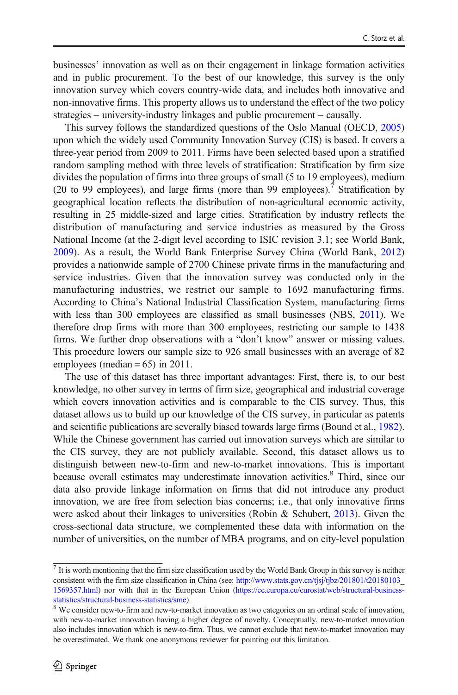businesses' innovation as well as on their engagement in linkage formation activities and in public procurement. To the best of our knowledge, this survey is the only innovation survey which covers country-wide data, and includes both innovative and non-innovative firms. This property allows us to understand the effect of the two policy strategies – university-industry linkages and public procurement – causally.

This survey follows the standardized questions of the Oslo Manual (OECD, [2005](#page-39-0)) upon which the widely used Community Innovation Survey (CIS) is based. It covers a three-year period from 2009 to 2011. Firms have been selected based upon a stratified random sampling method with three levels of stratification: Stratification by firm size divides the population of firms into three groups of small (5 to 19 employees), medium (20 to 99 employees), and large firms (more than 99 employees).<sup>7</sup> Stratification by geographical location reflects the distribution of non-agricultural economic activity, resulting in 25 middle-sized and large cities. Stratification by industry reflects the distribution of manufacturing and service industries as measured by the Gross National Income (at the 2-digit level according to ISIC revision 3.1; see World Bank, [2009\)](#page-40-0). As a result, the World Bank Enterprise Survey China (World Bank, [2012](#page-40-0)) provides a nationwide sample of 2700 Chinese private firms in the manufacturing and service industries. Given that the innovation survey was conducted only in the manufacturing industries, we restrict our sample to 1692 manufacturing firms. According to China's National Industrial Classification System, manufacturing firms with less than 300 employees are classified as small businesses (NBS, [2011\)](#page-39-0). We therefore drop firms with more than 300 employees, restricting our sample to 1438 firms. We further drop observations with a "don't know" answer or missing values. This procedure lowers our sample size to 926 small businesses with an average of 82 employees (median  $= 65$ ) in 2011.

The use of this dataset has three important advantages: First, there is, to our best knowledge, no other survey in terms of firm size, geographical and industrial coverage which covers innovation activities and is comparable to the CIS survey. Thus, this dataset allows us to build up our knowledge of the CIS survey, in particular as patents and scientific publications are severally biased towards large firms (Bound et al., [1982\)](#page-37-0). While the Chinese government has carried out innovation surveys which are similar to the CIS survey, they are not publicly available. Second, this dataset allows us to distinguish between new-to-firm and new-to-market innovations. This is important because overall estimates may underestimate innovation activities.<sup>8</sup> Third, since our data also provide linkage information on firms that did not introduce any product innovation, we are free from selection bias concerns; i.e., that only innovative firms were asked about their linkages to universities (Robin & Schubert, [2013](#page-40-0)). Given the cross-sectional data structure, we complemented these data with information on the number of universities, on the number of MBA programs, and on city-level population

 $\frac{1}{7}$  It is worth mentioning that the firm size classification used by the World Bank Group in this survey is neither consistent with the firm size classification in China (see: http://www.stats.gov.cn/tjsj/tjbz/201801/t20180103 [1569357.html](http://www.stats.gov.cn/tjsj/tjbz/201801/t20180103_1569357.html)) nor with that in the European Union [\(https://ec.europa.eu/eurostat/web/structural-business](https://ec.europa.eu/eurostat/web/structural-business-statistics/structural-business-statistics/sme)[statistics/structural-business-statistics/sme\)](https://ec.europa.eu/eurostat/web/structural-business-statistics/structural-business-statistics/sme).<br><sup>8</sup> We consider new-to-firm and new-to-market innovation as two categories on an ordinal scale of innovation,

with new-to-market innovation having a higher degree of novelty. Conceptually, new-to-market innovation also includes innovation which is new-to-firm. Thus, we cannot exclude that new-to-market innovation may be overestimated. We thank one anonymous reviewer for pointing out this limitation.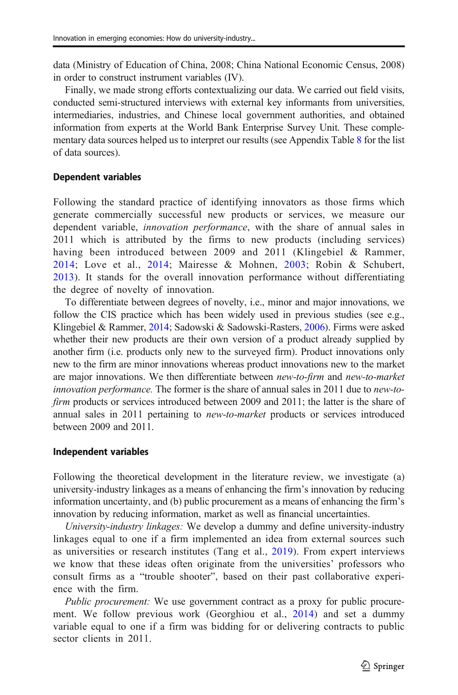data (Ministry of Education of China, 2008; China National Economic Census, 2008) in order to construct instrument variables (IV).

Finally, we made strong efforts contextualizing our data. We carried out field visits, conducted semi-structured interviews with external key informants from universities, intermediaries, industries, and Chinese local government authorities, and obtained information from experts at the World Bank Enterprise Survey Unit. These complementary data sources helped us to interpret our results (see Appendix Table [8](#page-23-0) for the list of data sources).

#### Dependent variables

Following the standard practice of identifying innovators as those firms which generate commercially successful new products or services, we measure our dependent variable, innovation performance, with the share of annual sales in 2011 which is attributed by the firms to new products (including services) having been introduced between 2009 and 2011 (Klingebiel & Rammer, [2014;](#page-38-0) Love et al., [2014](#page-39-0); Mairesse & Mohnen, [2003;](#page-39-0) Robin & Schubert, [2013](#page-40-0)). It stands for the overall innovation performance without differentiating the degree of novelty of innovation.

To differentiate between degrees of novelty, i.e., minor and major innovations, we follow the CIS practice which has been widely used in previous studies (see e.g., Klingebiel & Rammer, [2014](#page-38-0); Sadowski & Sadowski-Rasters, [2006\)](#page-40-0). Firms were asked whether their new products are their own version of a product already supplied by another firm (i.e. products only new to the surveyed firm). Product innovations only new to the firm are minor innovations whereas product innovations new to the market are major innovations. We then differentiate between *new-to-firm* and *new-to-market* innovation performance. The former is the share of annual sales in 2011 due to new-tofirm products or services introduced between 2009 and 2011; the latter is the share of annual sales in 2011 pertaining to new-to-market products or services introduced between 2009 and 2011.

#### Independent variables

Following the theoretical development in the literature review, we investigate (a) university-industry linkages as a means of enhancing the firm's innovation by reducing information uncertainty, and (b) public procurement as a means of enhancing the firm's innovation by reducing information, market as well as financial uncertainties.

University-industry linkages: We develop a dummy and define university-industry linkages equal to one if a firm implemented an idea from external sources such as universities or research institutes (Tang et al., [2019](#page-40-0)). From expert interviews we know that these ideas often originate from the universities' professors who consult firms as a "trouble shooter", based on their past collaborative experience with the firm.

Public procurement: We use government contract as a proxy for public procurement. We follow previous work (Georghiou et al., [2014](#page-38-0)) and set a dummy variable equal to one if a firm was bidding for or delivering contracts to public sector clients in 2011.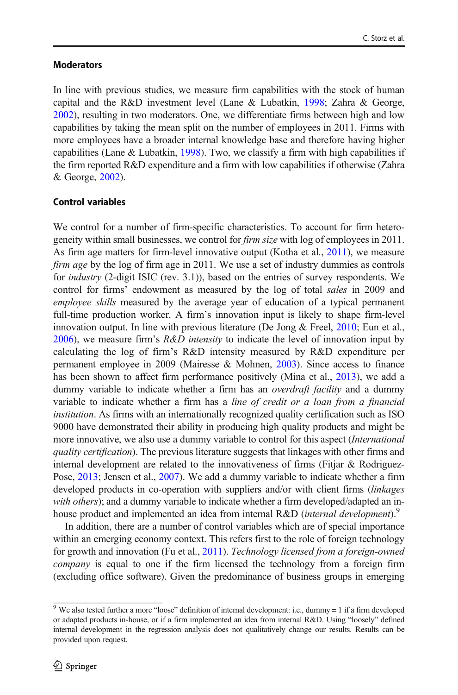## **Moderators**

In line with previous studies, we measure firm capabilities with the stock of human capital and the R&D investment level (Lane & Lubatkin, [1998](#page-38-0); Zahra & George, [2002\)](#page-41-0), resulting in two moderators. One, we differentiate firms between high and low capabilities by taking the mean split on the number of employees in 2011. Firms with more employees have a broader internal knowledge base and therefore having higher capabilities (Lane & Lubatkin, [1998\)](#page-38-0). Two, we classify a firm with high capabilities if the firm reported R&D expenditure and a firm with low capabilities if otherwise (Zahra & George, [2002](#page-41-0)).

## Control variables

We control for a number of firm-specific characteristics. To account for firm heterogeneity within small businesses, we control for firm size with log of employees in 2011. As firm age matters for firm-level innovative output (Kotha et al., [2011](#page-38-0)), we measure firm age by the log of firm age in 2011. We use a set of industry dummies as controls for industry (2-digit ISIC (rev. 3.1)), based on the entries of survey respondents. We control for firms' endowment as measured by the log of total sales in 2009 and employee skills measured by the average year of education of a typical permanent full-time production worker. A firm's innovation input is likely to shape firm-level innovation output. In line with previous literature (De Jong & Freel, [2010](#page-37-0); Eun et al., [2006\)](#page-37-0), we measure firm's  $R&D$  intensity to indicate the level of innovation input by calculating the log of firm's R&D intensity measured by R&D expenditure per permanent employee in 2009 (Mairesse & Mohnen, [2003\)](#page-39-0). Since access to finance has been shown to affect firm performance positively (Mina et al., [2013](#page-39-0)), we add a dummy variable to indicate whether a firm has an *overdraft facility* and a dummy variable to indicate whether a firm has a line of credit or a loan from a financial institution. As firms with an internationally recognized quality certification such as ISO 9000 have demonstrated their ability in producing high quality products and might be more innovative, we also use a dummy variable to control for this aspect *(International*) quality certification). The previous literature suggests that linkages with other firms and internal development are related to the innovativeness of firms (Fitjar & Rodriguez-Pose, [2013](#page-38-0); Jensen et al., [2007](#page-38-0)). We add a dummy variable to indicate whether a firm developed products in co-operation with suppliers and/or with client firms *(linkages*) with others); and a dummy variable to indicate whether a firm developed/adapted an inhouse product and implemented an idea from internal R&D (internal development).<sup>9</sup>

In addition, there are a number of control variables which are of special importance within an emerging economy context. This refers first to the role of foreign technology for growth and innovation (Fu et al., [2011\)](#page-38-0). Technology licensed from a foreign-owned company is equal to one if the firm licensed the technology from a foreign firm (excluding office software). Given the predominance of business groups in emerging

 $9$  We also tested further a more "loose" definition of internal development: i.e., dummy = 1 if a firm developed or adapted products in-house, or if a firm implemented an idea from internal R&D. Using "loosely" defined internal development in the regression analysis does not qualitatively change our results. Results can be provided upon request.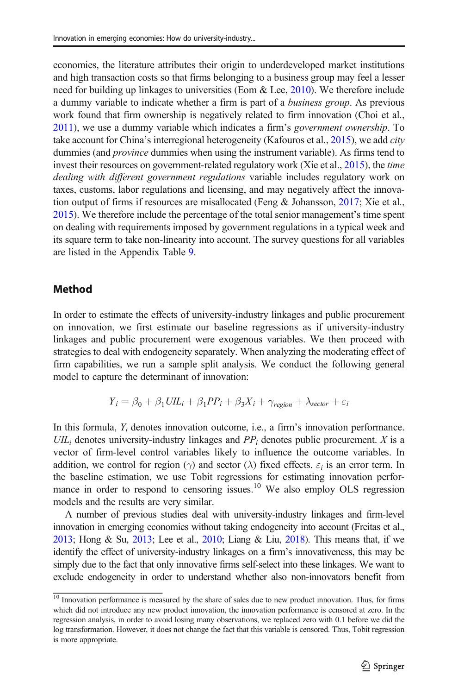economies, the literature attributes their origin to underdeveloped market institutions and high transaction costs so that firms belonging to a business group may feel a lesser need for building up linkages to universities (Eom & Lee, [2010](#page-37-0)). We therefore include a dummy variable to indicate whether a firm is part of a business group. As previous work found that firm ownership is negatively related to firm innovation (Choi et al., [2011\)](#page-37-0), we use a dummy variable which indicates a firm's government ownership. To take account for China's interregional heterogeneity (Kafouros et al., [2015\)](#page-38-0), we add city dummies (and *province* dummies when using the instrument variable). As firms tend to invest their resources on government-related regulatory work (Xie et al., [2015\)](#page-41-0), the time dealing with different government regulations variable includes regulatory work on taxes, customs, labor regulations and licensing, and may negatively affect the innovation output of firms if resources are misallocated (Feng & Johansson, [2017;](#page-37-0) Xie et al., [2015\)](#page-41-0). We therefore include the percentage of the total senior management's time spent on dealing with requirements imposed by government regulations in a typical week and its square term to take non-linearity into account. The survey questions for all variables are listed in the Appendix Table [9.](#page-23-0)

## Method

In order to estimate the effects of university-industry linkages and public procurement on innovation, we first estimate our baseline regressions as if university-industry linkages and public procurement were exogenous variables. We then proceed with strategies to deal with endogeneity separately. When analyzing the moderating effect of firm capabilities, we run a sample split analysis. We conduct the following general model to capture the determinant of innovation:

$$
Y_i = \beta_0 + \beta_1 UIL_i + \beta_1 PP_i + \beta_3 X_i + \gamma_{region} + \lambda_{sector} + \varepsilon_i
$$

In this formula,  $Y_i$  denotes innovation outcome, i.e., a firm's innovation performance.  $UIL<sub>i</sub>$  denotes university-industry linkages and  $PP<sub>i</sub>$  denotes public procurement. X is a vector of firm-level control variables likely to influence the outcome variables. In addition, we control for region ( $\gamma$ ) and sector ( $\lambda$ ) fixed effects.  $\varepsilon_i$  is an error term. In the baseline estimation, we use Tobit regressions for estimating innovation performance in order to respond to censoring issues.<sup>10</sup> We also employ OLS regression models and the results are very similar.

A number of previous studies deal with university-industry linkages and firm-level innovation in emerging economies without taking endogeneity into account (Freitas et al., [2013;](#page-38-0) Hong & Su, [2013;](#page-38-0) Lee et al., [2010;](#page-39-0) Liang & Liu, [2018\)](#page-39-0). This means that, if we identify the effect of university-industry linkages on a firm's innovativeness, this may be simply due to the fact that only innovative firms self-select into these linkages. We want to exclude endogeneity in order to understand whether also non-innovators benefit from

 $10$  Innovation performance is measured by the share of sales due to new product innovation. Thus, for firms which did not introduce any new product innovation, the innovation performance is censored at zero. In the regression analysis, in order to avoid losing many observations, we replaced zero with 0.1 before we did the log transformation. However, it does not change the fact that this variable is censored. Thus, Tobit regression is more appropriate.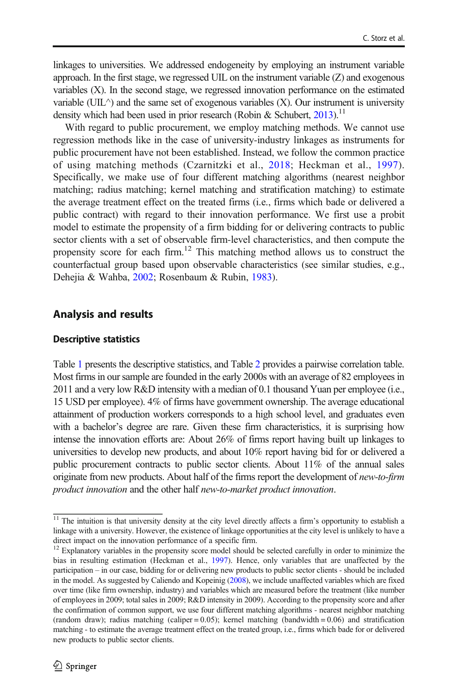linkages to universities. We addressed endogeneity by employing an instrument variable approach. In the first stage, we regressed UIL on the instrument variable (Z) and exogenous variables (X). In the second stage, we regressed innovation performance on the estimated variable ( $UIL^{\wedge}$ ) and the same set of exogenous variables  $(X)$ . Our instrument is university density which had been used in prior research (Robin & Schubert,  $2013$ ).<sup>11</sup>

With regard to public procurement, we employ matching methods. We cannot use regression methods like in the case of university-industry linkages as instruments for public procurement have not been established. Instead, we follow the common practice of using matching methods (Czarnitzki et al., [2018;](#page-37-0) Heckman et al., [1997](#page-38-0)). Specifically, we make use of four different matching algorithms (nearest neighbor matching; radius matching; kernel matching and stratification matching) to estimate the average treatment effect on the treated firms (i.e., firms which bade or delivered a public contract) with regard to their innovation performance. We first use a probit model to estimate the propensity of a firm bidding for or delivering contracts to public sector clients with a set of observable firm-level characteristics, and then compute the propensity score for each firm.<sup>12</sup> This matching method allows us to construct the counterfactual group based upon observable characteristics (see similar studies, e.g., Dehejia & Wahba, [2002](#page-37-0); Rosenbaum & Rubin, [1983](#page-40-0)).

## Analysis and results

#### Descriptive statistics

Table [1](#page-12-0) presents the descriptive statistics, and Table [2](#page-13-0) provides a pairwise correlation table. Most firms in our sample are founded in the early 2000s with an average of 82 employees in 2011 and a very low R&D intensity with a median of 0.1 thousand Yuan per employee (i.e., 15 USD per employee). 4% of firms have government ownership. The average educational attainment of production workers corresponds to a high school level, and graduates even with a bachelor's degree are rare. Given these firm characteristics, it is surprising how intense the innovation efforts are: About 26% of firms report having built up linkages to universities to develop new products, and about 10% report having bid for or delivered a public procurement contracts to public sector clients. About 11% of the annual sales originate from new products. About half of the firms report the development of *new-to-firm* product innovation and the other half new-to-market product innovation.

<sup>&</sup>lt;sup>11</sup> The intuition is that university density at the city level directly affects a firm's opportunity to establish a linkage with a university. However, the existence of linkage opportunities at the city level is unlikely to have a direct impact on the innovation performance of a specific firm.

<sup>&</sup>lt;sup>12</sup> Explanatory variables in the propensity score model should be selected carefully in order to minimize the bias in resulting estimation (Heckman et al., [1997\)](#page-38-0). Hence, only variables that are unaffected by the participation – in our case, bidding for or delivering new products to public sector clients - should be included in the model. As suggested by Caliendo and Kopeinig ([2008](#page-37-0)), we include unaffected variables which are fixed over time (like firm ownership, industry) and variables which are measured before the treatment (like number of employees in 2009; total sales in 2009; R&D intensity in 2009). According to the propensity score and after the confirmation of common support, we use four different matching algorithms - nearest neighbor matching (random draw); radius matching (caliper = 0.05); kernel matching (bandwidth = 0.06) and stratification matching - to estimate the average treatment effect on the treated group, i.e., firms which bade for or delivered new products to public sector clients.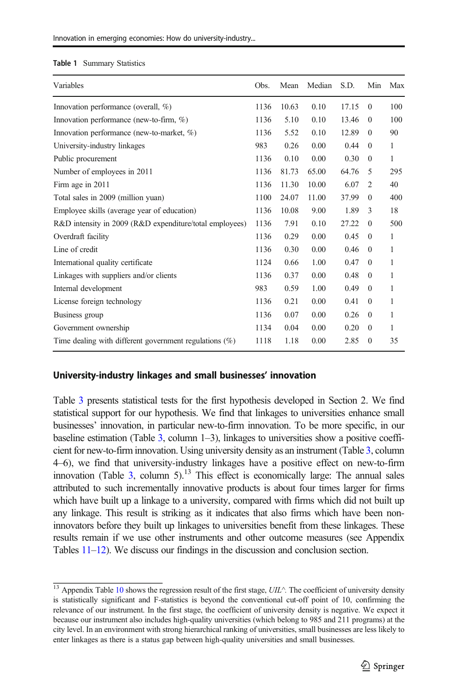#### <span id="page-12-0"></span>Table 1 Summary Statistics

| Variables                                                 | Obs. | Mean  | Median | S.D.  | Min      | Max |
|-----------------------------------------------------------|------|-------|--------|-------|----------|-----|
| Innovation performance (overall, %)                       | 1136 | 10.63 | 0.10   | 17.15 | $\Omega$ | 100 |
| Innovation performance (new-to-firm, $\%$ )               | 1136 | 5.10  | 0.10   | 13.46 | $\Omega$ | 100 |
| Innovation performance (new-to-market, $\%$ )             | 1136 | 5.52  | 0.10   | 12.89 | $\Omega$ | 90  |
| University-industry linkages                              | 983  | 0.26  | 0.00   | 0.44  | $\Omega$ | 1   |
| Public procurement                                        | 1136 | 0.10  | 0.00   | 0.30  | $\Omega$ | 1   |
| Number of employees in 2011                               | 1136 | 81.73 | 65.00  | 64.76 | 5        | 295 |
| Firm age in 2011                                          | 1136 | 11.30 | 10.00  | 6.07  | 2        | 40  |
| Total sales in 2009 (million yuan)                        | 1100 | 24.07 | 11.00  | 37.99 | $\Omega$ | 400 |
| Employee skills (average year of education)               | 1136 | 10.08 | 9.00   | 1.89  | 3        | 18  |
| R&D intensity in 2009 (R&D expenditure/total employees)   | 1136 | 7.91  | 0.10   | 27.22 | $\theta$ | 500 |
| Overdraft facility                                        | 1136 | 0.29  | 0.00   | 0.45  | $\theta$ | 1   |
| Line of credit                                            | 1136 | 0.30  | 0.00   | 0.46  | $\Omega$ | 1   |
| International quality certificate                         | 1124 | 0.66  | 1.00   | 0.47  | $\Omega$ | 1   |
| Linkages with suppliers and/or clients                    | 1136 | 0.37  | 0.00   | 0.48  | $\Omega$ | 1   |
| Internal development                                      | 983  | 0.59  | 1.00   | 0.49  | $\Omega$ | 1   |
| License foreign technology                                | 1136 | 0.21  | 0.00   | 0.41  | $\theta$ | 1   |
| Business group                                            | 1136 | 0.07  | 0.00   | 0.26  | $\Omega$ | 1   |
| Government ownership                                      | 1134 | 0.04  | 0.00   | 0.20  | $\Omega$ | 1   |
| Time dealing with different government regulations $(\%)$ | 1118 | 1.18  | 0.00   | 2.85  | $\theta$ | 35  |

### University-industry linkages and small businesses' innovation

Table [3](#page-17-0) presents statistical tests for the first hypothesis developed in Section 2. We find statistical support for our hypothesis. We find that linkages to universities enhance small businesses' innovation, in particular new-to-firm innovation. To be more specific, in our baseline estimation (Table [3](#page-17-0), column 1–3), linkages to universities show a positive coefficient for new-to-firm innovation. Using university density as an instrument (Table [3,](#page-17-0) column 4–6), we find that university-industry linkages have a positive effect on new-to-firm innovation (Table [3,](#page-17-0) column 5).<sup>13</sup> This effect is economically large: The annual sales attributed to such incrementally innovative products is about four times larger for firms which have built up a linkage to a university, compared with firms which did not built up any linkage. This result is striking as it indicates that also firms which have been noninnovators before they built up linkages to universities benefit from these linkages. These results remain if we use other instruments and other outcome measures (see Appendix Tables [11](#page-23-0)–[12\)](#page-23-0). We discuss our findings in the discussion and conclusion section.

 $13$  Appendix Table [10](#page-23-0) shows the regression result of the first stage, UIL^. The coefficient of university density is statistically significant and F-statistics is beyond the conventional cut-off point of 10, confirming the relevance of our instrument. In the first stage, the coefficient of university density is negative. We expect it because our instrument also includes high-quality universities (which belong to 985 and 211 programs) at the city level. In an environment with strong hierarchical ranking of universities, small businesses are less likely to enter linkages as there is a status gap between high-quality universities and small businesses.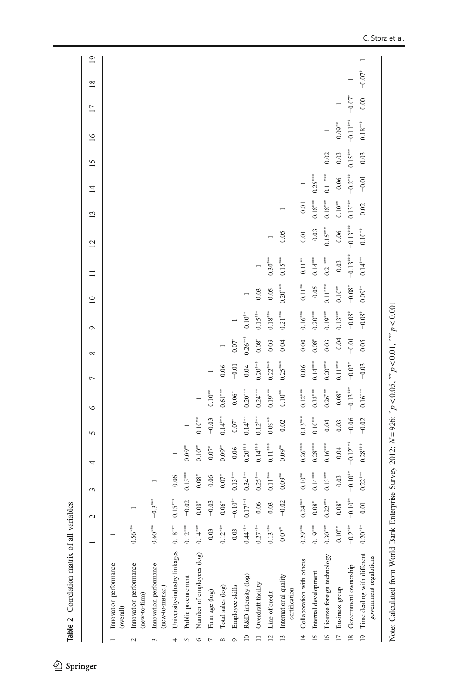<span id="page-13-0"></span>

|                 | Table 2 Correlation matrix of all variables                                                                                                       |                                  |                          |                     |                        |                          |                   |                      |             |                                             |                      |                |                   |                                     |                |                                       |                   |                          |          |                 |
|-----------------|---------------------------------------------------------------------------------------------------------------------------------------------------|----------------------------------|--------------------------|---------------------|------------------------|--------------------------|-------------------|----------------------|-------------|---------------------------------------------|----------------------|----------------|-------------------|-------------------------------------|----------------|---------------------------------------|-------------------|--------------------------|----------|-----------------|
|                 |                                                                                                                                                   |                                  | 2                        | 3                   | 4                      | 5                        | $\circ$           | Γ                    | ∞           | $\circ$                                     | $\overline{10}$      | $\Box$         | $\overline{12}$   | 13                                  | $\overline{4}$ | 15                                    | $\overline{16}$   | $\overline{17}$          | 18       | $\overline{19}$ |
|                 | Innovation performance<br>(overall)                                                                                                               |                                  |                          |                     |                        |                          |                   |                      |             |                                             |                      |                |                   |                                     |                |                                       |                   |                          |          |                 |
| $\sim$          | Innovation performance<br>$(new-to-firm)$                                                                                                         | $0.56***$                        |                          |                     |                        |                          |                   |                      |             |                                             |                      |                |                   |                                     |                |                                       |                   |                          |          |                 |
| 3               | Innovation performance<br>(new-to-market)                                                                                                         | $0.60^{\tiny\mbox{\tiny{3448}}}$ | $-0.3***$                |                     |                        |                          |                   |                      |             |                                             |                      |                |                   |                                     |                |                                       |                   |                          |          |                 |
| 4               | University-industry linkages                                                                                                                      | $0.18***$                        | $0.15***$                | 0.06                |                        |                          |                   |                      |             |                                             |                      |                |                   |                                     |                |                                       |                   |                          |          |                 |
| 5               | Public procurement                                                                                                                                | $0.12***$                        | $-0.02$                  | $0.15***$           | $0.09***$              | $\overline{\phantom{0}}$ |                   |                      |             |                                             |                      |                |                   |                                     |                |                                       |                   |                          |          |                 |
| $\circ$         | Number of employees (log)                                                                                                                         | $0.14***$                        | $0.08^{*}$               | $0.08^\ast$         | $0.10^{\ast\ast}$      | $0.10^{\ast\ast}$        |                   |                      |             |                                             |                      |                |                   |                                     |                |                                       |                   |                          |          |                 |
| $\overline{ }$  | Firm age (log)                                                                                                                                    | 0.03                             | $-0.03$                  | 0.06                | $0.07*$                | $-0.03$                  | $0.10^{\ast\ast}$ |                      |             |                                             |                      |                |                   |                                     |                |                                       |                   |                          |          |                 |
| $\infty$        | Total sales (log)                                                                                                                                 | $0.12^{\tiny\mbox{\tiny{max}}}$  | $0.06*$                  | $0.07$ <sup>*</sup> | $0.09^{\ast\ast}$      | $0.14***$                | $0.61***$         | 0.06                 |             |                                             |                      |                |                   |                                     |                |                                       |                   |                          |          |                 |
| $\circ$         | Employee skills                                                                                                                                   | 0.03                             | $-0.10^{**}$             | $0.13***$           | 0.06                   | $0.07^{\ast}$            | $0.06^*$          | $-0.01$              | $0.07*$     |                                             |                      |                |                   |                                     |                |                                       |                   |                          |          |                 |
| $\overline{10}$ | R&D intensity (log)                                                                                                                               | $0.44***$                        | $0.17^{\circ\circ\circ}$ | $0.34***$           | $0.20***$              | $0.14***$                | $0.20***$         | 0.04                 | $0.26***$   | $0.10***$                                   |                      |                |                   |                                     |                |                                       |                   |                          |          |                 |
| $\equiv$        | Overdraft facility                                                                                                                                | $0.27***$                        | 0.06                     | $0.25***$           | $0.14***$              | $0.12***$                | $0.24***$         | $0.20***$            | $0.08^{*}$  | $0.15***$                                   | 0.03                 | $\overline{a}$ |                   |                                     |                |                                       |                   |                          |          |                 |
| $\overline{c}$  | Line of credit                                                                                                                                    | $0.13***$                        | 0.03                     | $0.11***$           | $0.11***$              | $0.09^{\ast\ast}$        | $0.19***$         | $0.22***$            | 0.03        | $0.18^{\tiny\mbox{\tiny{3444}}\phantom{0}}$ | 0.05                 | $0.30***$      |                   |                                     |                |                                       |                   |                          |          |                 |
| $\frac{13}{2}$  | International quality<br>certification                                                                                                            | $0.07^*$                         | $-0.02$                  | $0.09***$           | $0.09^{\ast\ast}$      | $0.02\,$                 | $0.10^{\ast\ast}$ | $0.25***$            | 0.04        | $0.21***$                                   | $0.20***$            | $0.15***$      | 0.05              |                                     |                |                                       |                   |                          |          |                 |
| $\overline{4}$  | Collaboration with others                                                                                                                         | $0.29***$                        | $0.24***$                | $0.10^{\ast\ast}$   | $0.26***$              | $0.13^{\ast\ast\ast}$    | $0.12***$         | $0.06$               | 0.00        | $0.16^{\ast\ast\ast}$                       | $-0.11***$           | $0.11***$      | 0.01              | $-0.01$                             |                |                                       |                   |                          |          |                 |
|                 | 15 Internal development                                                                                                                           | $0.19***$                        | $0.08^\ast$              | $0.14***$           | $0.28^{\ast\ast\ast}$  | $0.10^{\ast\ast}$        | $0.33***$         | $0.14***$            | $0.08^\ast$ | $0.20^{\ast\ast\ast}$                       | $-0.05$              | $0.14***$      | $-0.03$           | $0.18^{\rm \tiny stars}$            | $0.25***$      |                                       |                   |                          |          |                 |
| $\frac{16}{1}$  | License foreign technology                                                                                                                        | $0.30***$                        | $0.22***$                | $0.13***$           | $0.16^{\tiny\rm stat}$ | 0.04                     | $0.26***$         | $0.20***$            | 0.03        | $0.19***$                                   | $0.11***$            | $0.21***$      | $0.15***$         | $0.18^{\scriptscriptstyle\rm stat}$ | $0.11***$      | 0.02                                  |                   |                          |          |                 |
| $\overline{17}$ | Business group                                                                                                                                    | $0.10^{\ast\ast}$                | $0.08^\ast$              | 0.03                | 0.04                   | 0.03                     | $0.08^\ast$       | $0.11***$            | $-0.04$     | $0.13***$                                   | $0.10^{\ast\ast}$    | 0.03           | 0.06              | $0.10^{\ast\ast}$                   | 0.06           | 0.03                                  | $0.09^{\ast\ast}$ | $\overline{\phantom{0}}$ |          |                 |
| $\frac{8}{18}$  | Government ownership                                                                                                                              | $-0.2***$                        | $-0.10***$               | $-0.10***$          | $-0.12***$             | $-0.06$                  | $-0.13***$        | $-0.07$ <sup>*</sup> | $-0.01$     | $-0.08$ <sup>*</sup>                        | $-0.08$ <sup>*</sup> | $-0.13***$     | $-0.13***$        | $0.13***$                           | $-0.2***$      | $0.15^{\scriptscriptstyle \text{mm}}$ | $-0.11***$        | $-0.07$ <sup>*</sup>     |          |                 |
|                 | 19 Time dealing with different<br>government regulations                                                                                          | $0.20***$                        | 0.01                     | $0.22***$           | $0.28***$              | $-0.02$                  | $0.16***$         | $-0.03$              | 0.05        | $-0.08$ <sup>*</sup>                        | $0.09***$            | $0.14***$      | $0.10^{\ast\ast}$ | 0.02                                | $-0.01$        | 0.03                                  | $0.18***$         | $0.00\,$                 | $-0.07*$ |                 |
|                 | Note: Calculated from World Bank Enterprise Survey 2012; $N = 926$ ; $\binom{n}{k} \ge 0.05$ , $\binom{m}{k} \ge 0.01$ , $\binom{m}{k} \ge 0.001$ |                                  |                          |                     |                        |                          |                   |                      |             |                                             |                      |                |                   |                                     |                |                                       |                   |                          |          |                 |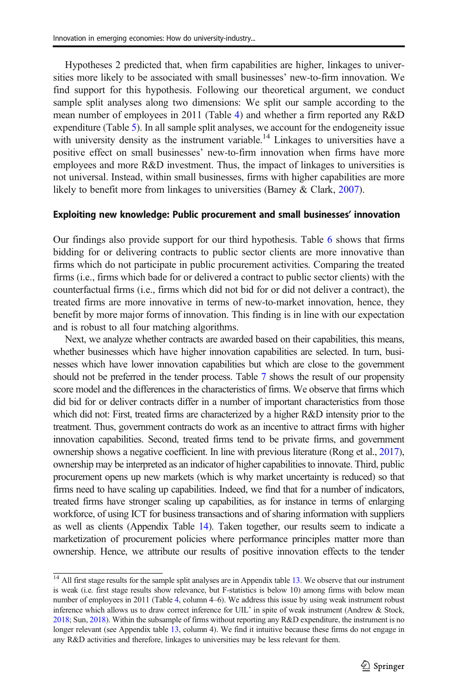Hypotheses 2 predicted that, when firm capabilities are higher, linkages to universities more likely to be associated with small businesses' new-to-firm innovation. We find support for this hypothesis. Following our theoretical argument, we conduct sample split analyses along two dimensions: We split our sample according to the mean number of employees in 2011 (Table [4](#page-19-0)) and whether a firm reported any R&D expenditure (Table [5](#page-20-0)). In all sample split analyses, we account for the endogeneity issue with university density as the instrument variable.<sup>14</sup> Linkages to universities have a positive effect on small businesses' new-to-firm innovation when firms have more employees and more R&D investment. Thus, the impact of linkages to universities is not universal. Instead, within small businesses, firms with higher capabilities are more likely to benefit more from linkages to universities (Barney & Clark, [2007\)](#page-37-0).

### Exploiting new knowledge: Public procurement and small businesses' innovation

Our findings also provide support for our third hypothesis. Table [6](#page-21-0) shows that firms bidding for or delivering contracts to public sector clients are more innovative than firms which do not participate in public procurement activities. Comparing the treated firms (i.e., firms which bade for or delivered a contract to public sector clients) with the counterfactual firms (i.e., firms which did not bid for or did not deliver a contract), the treated firms are more innovative in terms of new-to-market innovation, hence, they benefit by more major forms of innovation. This finding is in line with our expectation and is robust to all four matching algorithms.

Next, we analyze whether contracts are awarded based on their capabilities, this means, whether businesses which have higher innovation capabilities are selected. In turn, businesses which have lower innovation capabilities but which are close to the government should not be preferred in the tender process. Table [7](#page-22-0) shows the result of our propensity score model and the differences in the characteristics of firms. We observe that firms which did bid for or deliver contracts differ in a number of important characteristics from those which did not: First, treated firms are characterized by a higher R&D intensity prior to the treatment. Thus, government contracts do work as an incentive to attract firms with higher innovation capabilities. Second, treated firms tend to be private firms, and government ownership shows a negative coefficient. In line with previous literature (Rong et al., [2017\)](#page-40-0), ownership may be interpreted as an indicator of higher capabilities to innovate. Third, public procurement opens up new markets (which is why market uncertainty is reduced) so that firms need to have scaling up capabilities. Indeed, we find that for a number of indicators, treated firms have stronger scaling up capabilities, as for instance in terms of enlarging workforce, of using ICT for business transactions and of sharing information with suppliers as well as clients (Appendix Table [14](#page-23-0)). Taken together, our results seem to indicate a marketization of procurement policies where performance principles matter more than ownership. Hence, we attribute our results of positive innovation effects to the tender

<sup>&</sup>lt;sup>14</sup> All first stage results for the sample split analyses are in Appendix table [13](#page-23-0). We observe that our instrument is weak (i.e. first stage results show relevance, but F-statistics is below 10) among firms with below mean number of employees in 2011 (Table [4,](#page-19-0) column 4–6). We address this issue by using weak instrument robust inference which allows us to draw correct inference for UILˆ in spite of weak instrument (Andrew & Stock, [2018;](#page-36-0) Sun, [2018\)](#page-40-0). Within the subsample of firms without reporting any R&D expenditure, the instrument is no longer relevant (see Appendix table [13,](#page-23-0) column 4). We find it intuitive because these firms do not engage in any R&D activities and therefore, linkages to universities may be less relevant for them.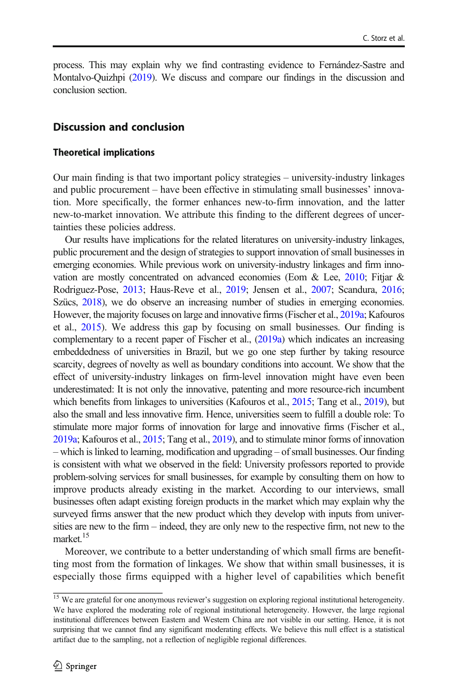process. This may explain why we find contrasting evidence to Fernández-Sastre and Montalvo-Quizhpi [\(2019\)](#page-37-0). We discuss and compare our findings in the discussion and conclusion section.

## Discussion and conclusion

#### Theoretical implications

Our main finding is that two important policy strategies – university-industry linkages and public procurement – have been effective in stimulating small businesses' innovation. More specifically, the former enhances new-to-firm innovation, and the latter new-to-market innovation. We attribute this finding to the different degrees of uncertainties these policies address.

Our results have implications for the related literatures on university-industry linkages, public procurement and the design of strategies to support innovation of small businesses in emerging economies. While previous work on university-industry linkages and firm innovation are mostly concentrated on advanced economies (Eom & Lee, [2010;](#page-37-0) Fitjar & Rodriguez-Pose, [2013](#page-38-0); Haus-Reve et al., [2019](#page-38-0); Jensen et al., [2007;](#page-38-0) Scandura, [2016;](#page-40-0) Szücs, [2018\)](#page-40-0), we do observe an increasing number of studies in emerging economies. However, the majority focuses on large and innovative firms (Fischer et al., [2019a](#page-37-0); Kafouros et al., [2015](#page-38-0)). We address this gap by focusing on small businesses. Our finding is complementary to a recent paper of Fischer et al., [\(2019a](#page-37-0)) which indicates an increasing embeddedness of universities in Brazil, but we go one step further by taking resource scarcity, degrees of novelty as well as boundary conditions into account. We show that the effect of university-industry linkages on firm-level innovation might have even been underestimated: It is not only the innovative, patenting and more resource-rich incumbent which benefits from linkages to universities (Kafouros et al., [2015](#page-38-0); Tang et al., [2019](#page-40-0)), but also the small and less innovative firm. Hence, universities seem to fulfill a double role: To stimulate more major forms of innovation for large and innovative firms (Fischer et al., [2019a;](#page-37-0) Kafouros et al., [2015;](#page-38-0) Tang et al., [2019\)](#page-40-0), and to stimulate minor forms of innovation – which is linked to learning, modification and upgrading – of small businesses. Our finding is consistent with what we observed in the field: University professors reported to provide problem-solving services for small businesses, for example by consulting them on how to improve products already existing in the market. According to our interviews, small businesses often adapt existing foreign products in the market which may explain why the surveyed firms answer that the new product which they develop with inputs from universities are new to the firm – indeed, they are only new to the respective firm, not new to the market.<sup>15</sup>

Moreover, we contribute to a better understanding of which small firms are benefitting most from the formation of linkages. We show that within small businesses, it is especially those firms equipped with a higher level of capabilities which benefit

<sup>&</sup>lt;sup>15</sup> We are grateful for one anonymous reviewer's suggestion on exploring regional institutional heterogeneity. We have explored the moderating role of regional institutional heterogeneity. However, the large regional institutional differences between Eastern and Western China are not visible in our setting. Hence, it is not surprising that we cannot find any significant moderating effects. We believe this null effect is a statistical artifact due to the sampling, not a reflection of negligible regional differences.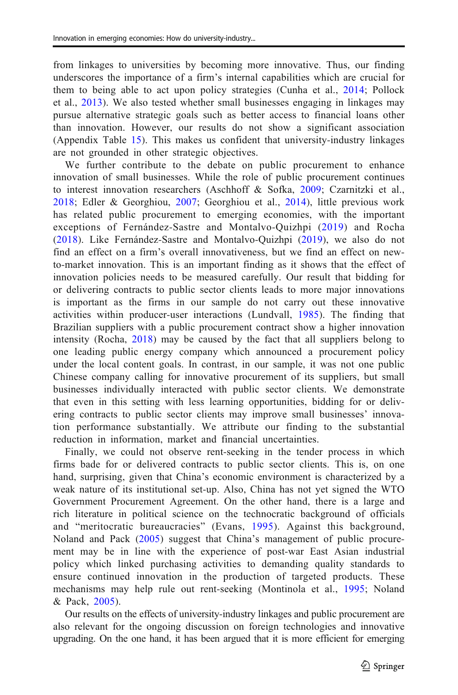from linkages to universities by becoming more innovative. Thus, our finding underscores the importance of a firm's internal capabilities which are crucial for them to being able to act upon policy strategies (Cunha et al., [2014;](#page-37-0) Pollock et al., [2013](#page-39-0)). We also tested whether small businesses engaging in linkages may pursue alternative strategic goals such as better access to financial loans other than innovation. However, our results do not show a significant association (Appendix Table [15\)](#page-23-0). This makes us confident that university-industry linkages are not grounded in other strategic objectives.

We further contribute to the debate on public procurement to enhance innovation of small businesses. While the role of public procurement continues to interest innovation researchers (Aschhoff & Sofka, [2009](#page-36-0); Czarnitzki et al., [2018](#page-37-0); Edler & Georghiou, [2007](#page-37-0); Georghiou et al., [2014](#page-38-0)), little previous work has related public procurement to emerging economies, with the important exceptions of Fernández-Sastre and Montalvo-Quizhpi ([2019](#page-37-0)) and Rocha [\(2018\)](#page-40-0). Like Fernández-Sastre and Montalvo-Quizhpi [\(2019\)](#page-37-0), we also do not find an effect on a firm's overall innovativeness, but we find an effect on newto-market innovation. This is an important finding as it shows that the effect of innovation policies needs to be measured carefully. Our result that bidding for or delivering contracts to public sector clients leads to more major innovations is important as the firms in our sample do not carry out these innovative activities within producer-user interactions (Lundvall, [1985](#page-39-0)). The finding that Brazilian suppliers with a public procurement contract show a higher innovation intensity (Rocha, [2018\)](#page-40-0) may be caused by the fact that all suppliers belong to one leading public energy company which announced a procurement policy under the local content goals. In contrast, in our sample, it was not one public Chinese company calling for innovative procurement of its suppliers, but small businesses individually interacted with public sector clients. We demonstrate that even in this setting with less learning opportunities, bidding for or delivering contracts to public sector clients may improve small businesses' innovation performance substantially. We attribute our finding to the substantial reduction in information, market and financial uncertainties.

Finally, we could not observe rent-seeking in the tender process in which firms bade for or delivered contracts to public sector clients. This is, on one hand, surprising, given that China's economic environment is characterized by a weak nature of its institutional set-up. Also, China has not yet signed the WTO Government Procurement Agreement. On the other hand, there is a large and rich literature in political science on the technocratic background of officials and "meritocratic bureaucracies" (Evans, [1995\)](#page-37-0). Against this background, Noland and Pack [\(2005\)](#page-39-0) suggest that China's management of public procurement may be in line with the experience of post-war East Asian industrial policy which linked purchasing activities to demanding quality standards to ensure continued innovation in the production of targeted products. These mechanisms may help rule out rent-seeking (Montinola et al., [1995](#page-39-0); Noland & Pack, [2005](#page-39-0)).

Our results on the effects of university-industry linkages and public procurement are also relevant for the ongoing discussion on foreign technologies and innovative upgrading. On the one hand, it has been argued that it is more efficient for emerging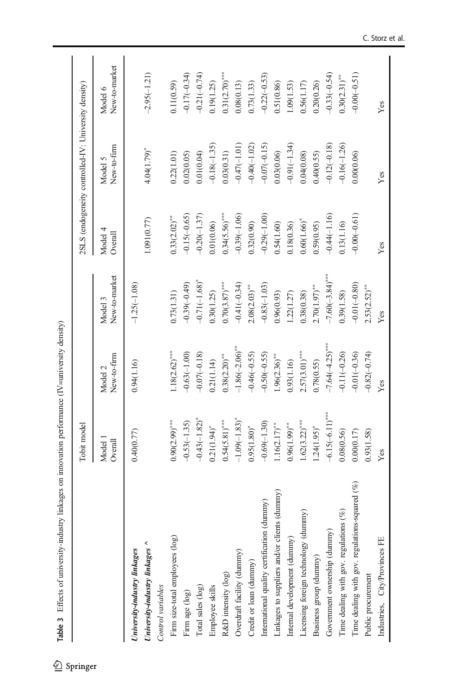<span id="page-17-0"></span>

|                                                 | Tobit model                 |                              |                             |                             | 2SLS (endogeneity controlled-IV: University density) |                            |
|-------------------------------------------------|-----------------------------|------------------------------|-----------------------------|-----------------------------|------------------------------------------------------|----------------------------|
|                                                 | Model 1<br>Overall          | New-to-firm<br>Model 2       | New-to-market<br>Model 3    | Model 4<br>Overall          | New-to-firm<br>Model 5                               | New-to-market<br>Model 6   |
| University-industry linkages                    | 0.40(0.77)                  | 0.94(1.16)                   | $-1.25(-1.08)$              |                             |                                                      |                            |
| University-industry linkages                    |                             |                              |                             | 1.091(0.77)                 | $4.04(1.79)^*$                                       | $-2.95(-1.21)$             |
| Control variables                               |                             |                              |                             |                             |                                                      |                            |
| Firm size-total employees (log)                 | $0.90(2.99)$ ***            | $1.18(2.62)$ ***             | 0.73(1.31)                  | $0.33(2.02)$ <sup>***</sup> | 0.22(1.01)                                           | 0.11(0.59)                 |
| Firm age (log)                                  | $-0.53(-1.35)$              | $-0.63(-1.00)$               | $-0.39(-0.49)$              | $-0.15(-0.65)$              | 0.02(0.05)                                           | $-0.17(-0.34)$             |
| Total sales (log)                               | $-0.43(-1.82)^{*}$          | $-0.07(-0.18)$               | $-0.71(-1.68)$ <sup>*</sup> | $-0.20(-1.37)$              | 0.01(0.04)                                           | $-0.21(-0.74)$             |
| Employee skills                                 | $0.21(1.94)^*$              | 0.21(1.14)                   | 0.30(1.25)                  | 0.01(0.06)                  | $-0.18(-1.35)$                                       | 0.19(1.25)                 |
| R&D intensity (log)                             | $0.54(5.81)$ ***            | $0.38(2.20)$ **              | $0.70(3.87)$ ***            | $0.34(5.56)$ ***            | 0.03(0.31)                                           | $0.31(2.70)$ ***           |
| Overdraft facility (dummy)                      | $-1.09(-1.83)$ <sup>*</sup> | $-1.86(-2.06)$ <sup>**</sup> | $-0.41(-0.34)$              | $-0.39(-1.06)$              | $-0.47(-1.01)$                                       | 0.08(0.13)                 |
| Credit or loan (dummy)                          | $0.95(1.80)$ <sup>*</sup>   | $-0.46(-0.55)$               | $2.08(2.03)$ **             | 0.32(0.90)                  | $-0.40(-1.02)$                                       | 0.73(1.33)                 |
| International quality certification (dummy)     | $-0.69(-1.30)$              | $-0.50(-0.55)$               | $-0.83(-1.03)$              | $-0.29(-1.00)$              | $-0.07(-0.15)$                                       | $-0.22(-0.53)$             |
| Linkages to suppliers and/or clients (dummy)    | $1.16(2.17)$ <sup>**</sup>  | $1.96(2.36)$ **              | 0.96(0.93)                  | 0.54(1.60)                  | 0.03(0.06)                                           | 0.51(0.86)                 |
| Internal development (dummy)                    | $0.96(1.99)$ **             | 0.93(1.16)                   | 1.22(1.27)                  | 0.18(0.36)                  | $-0.91(-1.34)$                                       | (.09(1.53)                 |
| Licensing foreign technology (dummy)            | $1.62(3.22)$ ***            | $2.57(3.01)$ ***             | 0.38(0.38)                  | $0.60(1.66)$ *              | 0.04(0.08)                                           | 0.56(1.17)                 |
| Business group (dummy)                          | $1.24(1.95)$ *              | 0.78(0.55)                   | $2.70(1.97)$ **             | 0.59(0.95)                  | 0.40(0.55)                                           | 0.20(0.26)                 |
| Government ownership (dummy)                    | $-6.15(-6.11)$ ***          | $-7.64(-4.25)$ ***           | $-7.60(-3.84)$ ***          | $-0.44(-1.16)$              | $-0.12(-0.18)$                                       | $-0.33(-0.54)$             |
| Time dealing with gov. regulations $(\%$        | 0.08(0.56)                  | $-0.11(-0.26)$               | 0.39(1.58)                  | 0.13(1.16)                  | $-0.16(-1.26)$                                       | $0.30(2.31)$ <sup>**</sup> |
| Time dealing with gov. regulations-squared $(%$ | 0.00(0.17)                  | $-0.01(-0.36)$               | $-0.01(-0.80)$              | $-0.00(-0.61)$              | 0.00(0.06)                                           | $-0.00(-0.51)$             |
| Public procurement                              | 0.93(1.58)                  | $-0.82(-0.74)$               | $2.53(2.52)$ <sup>**</sup>  |                             |                                                      |                            |
| Industries, City/Provinces FE                   | Yes                         | Yes                          | Yes                         | Yes                         | Yes                                                  | Yes                        |
|                                                 |                             |                              |                             |                             |                                                      |                            |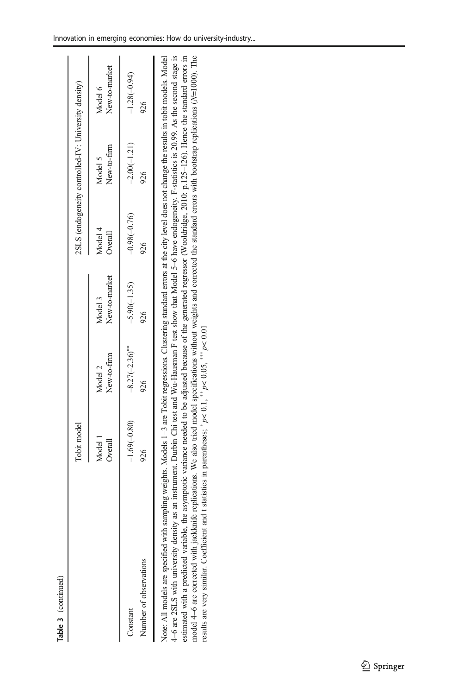|                                                                                                                                                                                                                                | Tobit model        |                        |                          |                    | 2SLS (endogeneity controlled-IV: University density) |                          |
|--------------------------------------------------------------------------------------------------------------------------------------------------------------------------------------------------------------------------------|--------------------|------------------------|--------------------------|--------------------|------------------------------------------------------|--------------------------|
|                                                                                                                                                                                                                                | Model 1<br>Overall | New-to-firm<br>Model 2 | New-to-market<br>Model 3 | Model 4<br>Overall | New-to-firm<br>Model 5                               | New-to-market<br>Model 6 |
| Constant                                                                                                                                                                                                                       | $-1.69(-0.80)$     | $-8.27(-2.36)$ **      | $-5.90(-1.35)$           | $-0.98(-0.76)$     | $-2.00(-1.21)$                                       | $-1.28(-0.94)$           |
| Number of observations                                                                                                                                                                                                         | 926                | 926                    | 926                      | 926                | 926                                                  | 926                      |
| In a second the contraction of the MCRI of the MCRI of the Hotel of the Hotel of the Hotel of the Hotel of the Hotel of the McCristian of the McCristian of the McCristian of the McCristian of the McCristian of the McCristi |                    |                        |                          |                    |                                                      |                          |

4-6 are 2SLS with university density as an instrument. Durbin Chi test and Wu-Hausman F test show that Model 5-6 have endogeneity. F-statistics is 20.99. As the second stage is estimated with a predicted variable, the asymptotic variance needed to be adjusted because of the generated regressor (Wooldridge, 2010: p.125-126). Hence the standard errors in Note: All models are specified with sampling weights. Models 1-3 are Tobit regressions. Clustering standard errors at the city level does not change the results in tobit models. Model model 4-6 are corrected with jackknife replications. We also tried model specifications without weights and corrected the standard errors with bootstrap replications (N=1000). The Note: All models are specified with sampling weights. Models 1–3 are Tobit regressions. Clustering standard errors at the city level does not change the results in tobit models. Model 4–6 are 2SLS with university density as an instrument. Durbin Chi test and Wu-Hausman F test show that Model 5–6 have endogeneity. F-statistics is 20.99. As the second stage is estimated with a predicted variable, the asymptotic variance needed to be adjusted because of the generated regressor (Wooldridge, 2010: p.125–126). Hence the standard errors in model 4–6 are corrected with jackknife replications. We also tried model specifications without weights and corrected the standard errors with bootstrap replications (N=1000). The  $p< 0.01$  $p$  < 0.05, \*\*\* results are very similar. Coefficient and t statistics in parentheses;  $* p < 0.1$ ,  $**$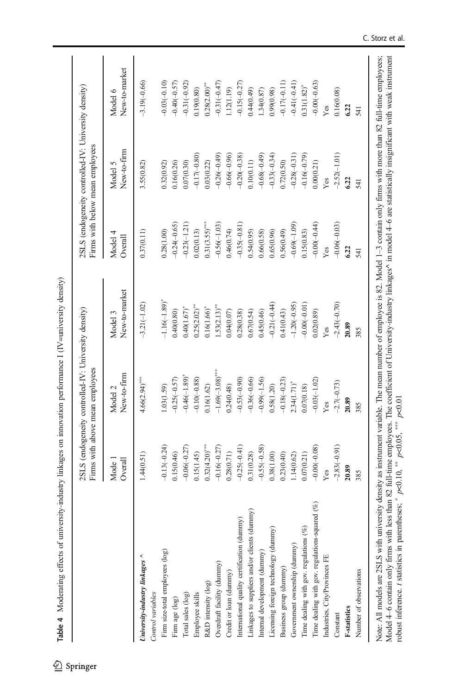<span id="page-19-0"></span>

|                                                   |                   | 2SLS (endogeneity controlled-IV: University density)<br>Firms with above mean employees |                           |                    | 2SLS (endogeneity controlled-IV: University density)<br>Firms with below mean employees |                          |
|---------------------------------------------------|-------------------|-----------------------------------------------------------------------------------------|---------------------------|--------------------|-----------------------------------------------------------------------------------------|--------------------------|
|                                                   | Mode 1<br>Overall | New-to-firm<br>Model 2                                                                  | New-to-market<br>Model 3  | Model 4<br>Overall | New-to-firm<br>Model 5                                                                  | New-to-market<br>Model 6 |
| University-industry linkages<br>Control variables | 1.44(0.51)        | $4.66(2.94)$ ***                                                                        | $-3.21(-1.02)$            | 0.37(0.11)         | 3.55(0.82)                                                                              | $-3.19(-0.66)$           |
| Firm size-total employees (log)                   | $-0.13(-0.24)$    | 1.03(1.59)                                                                              | $-1.16(-1.89)$            | 0.28(1.00)         | 0.32(0.92)                                                                              | $0.03(-0.10)$            |
| Firm age (log)                                    | 0.15(0.46)        | $-0.25(-0.57)$                                                                          | 0.40(0.80)                | $-0.24(-0.65)$     | 0.16(0.26)                                                                              | $-0.40(-0.57)$           |
| Total sales (log)                                 | $-0.06(-0.27)$    | $-0.46(-1.89)$ <sup>*</sup>                                                             | $0.40(1.67)$ *            | $-0.23(-1.21)$     | 0.07(0.30)                                                                              | $-0.31(-0.92)$           |
| Employee skills                                   | 0.15(1.45)        | $-0.10(-0.88)$                                                                          | $0.25(2.02)^{***}$        | 0.02(0.13)         | $0.17(-0.80)$                                                                           | 0.19(0.80)               |
| R&D intensity (log)                               | $0.32(4.20)$ ***  | 16(1.62)                                                                                | $0.16(1.66)^*$            | $0.31(3.55)$ ***   | 0.03(0.22)                                                                              | $0.28(2.00)$ **          |
| Overdraft facility (dummy)                        | $-0.16(-0.27)$    | $-1.69(-3.08)$ ***                                                                      | $.53(2.13)$ <sup>**</sup> | $-0.56(-1.03)$     | $-0.26(-0.49)$                                                                          | $-0.31(-0.47)$           |
| Credit or loan (dummy)                            | 0.28(0.71)        | 0.24(0.48)                                                                              | 0.04(0.07)                | 0.46(0.74)         | $-0.66(-0.96)$                                                                          | .12(1.19)                |
| International quality certification (dummy)       | $-0.25(-0.41)$    | $-0.53(-0.90)$                                                                          | 0.28(0.38)                | $-0.35(-0.81)$     | $-0.20(-0.38)$                                                                          | $-0.15(-0.27)$           |
| Linkages to suppliers and/or clients (dummy)      | 0.31(0.28)        | $-0.36(-0.66)$                                                                          | 0.67(0.54)                | 0.54(0.95)         | 0.10(0.11)                                                                              | 0.44(0.49)               |
| Internal development (dummy)                      | $-0.55(-0.58)$    | $-0.99(-1.56)$                                                                          | 0.45(0.46)                | 0.66(0.58)         | $-0.68(-0.49)$                                                                          | 1.34(0.87)               |
| Licensing foreign technology (dummy)              | 0.38(1.00)        | 0.58(1.20)                                                                              | $-0.21(-0.44)$            | 0.65(0.96)         | $-0.33(-0.34)$                                                                          | 0.99(0.98)               |
| Business group (dummy)                            | 0.23(0.40)        | $-0.18(-0.23)$                                                                          | 0.41(0.43)                | 0.56(0.49)         | 0.72(0.50)                                                                              | $-0.17(-0.11)$           |
| Government ownership (dummy)                      | 1.14(0.62)        | $.34(1.71)^*$                                                                           | $-1.20(-0.95)$            | $-0.69(-1.09)$     | $-0.28(-0.31)$                                                                          | $-0.41(-0.41)$           |
| Time dealing with gov. regulations $(\%)$         | 0.07(0.21)        | 0.07(0.18)                                                                              | $-0.00(-0.01)$            | 0.15(0.83)         | $-0.16(-0.79)$                                                                          | $0.31(1.82)^*$           |
| Time dealing with gov. regulations-squared (%)    | $-0.00(-0.08)$    | $0.03(-1.02)$                                                                           | 0.02(0.89)                | $-0.00(-0.44)$     | 0.00(0.21)                                                                              | $-0.00(-0.63)$           |
| Industries, City/Provinces FE                     | Yes               | Yes                                                                                     | Yes                       | Yes                | Yes                                                                                     | Yes                      |
| Constant                                          | $-2.83(-0.91)$    | $-2.7(-0.73)$                                                                           | $-2.43(-0.70)$            | $-0.06(-0.03)$     | $-2.52(-1.01)$                                                                          | 0.16(0.08)               |
| <b>F-statistics</b>                               | 20.89             | 20.89                                                                                   | 20.89                     | 6.22               | 6.22                                                                                    | 6.22                     |
| Number of observations                            | 385               | 385                                                                                     | 385                       | 541                | 541                                                                                     | 541                      |

Model 4–6 contain only firms with less than 82 full-time employees. The coefficient of University-industry linkages<sup>8</sup> in model 4–6 are statistically insignificant with weak instrument

Model 4–6 contain only firms with less than 82 full-time employees. The coefficient of University-industry linkages^ in model 4–6 are statistically insignificant with weak instrument robust inference. t statistics in pare

robust inference. t statistics in parentheses;  $*$   $p<0.10$ ,  $**$   $p<0.05$ ,  $**$   $p<0.01$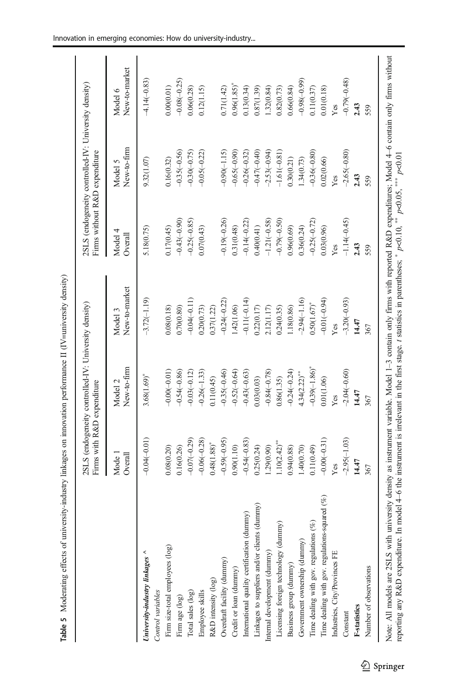<span id="page-20-0"></span>

|                                                   | Firms with R&D expenditure  | 2SLS (endogeneity controlled-IV: University density) |                          | Firms without R&D expenditure | 2SLS (endogeneity controlled-IV: University density) |                          |
|---------------------------------------------------|-----------------------------|------------------------------------------------------|--------------------------|-------------------------------|------------------------------------------------------|--------------------------|
|                                                   | Mode 1<br>Overall           | New-to-firm<br>Model 2                               | New-to-market<br>Model 3 | Model 4<br>Overall            | New-to-firm<br>Model 5                               | New-to-market<br>Model 6 |
| University-industry linkages<br>Control variables | $-0.04(-0.01)$              | $3.68(1.69)^*$                                       | $-3.72(-1.19)$           | 5.18(0.75)                    | 9.32(1.07)                                           | $-4.14(-0.83)$           |
| Firm size-total employees (log)                   | 0.08(0.20)                  | $-0.00(-0.01)$                                       | 0.08(0.18)               | 0.17(0.45)                    | 0.16(0.32)                                           | 0.00(0.01)               |
| Firm age (log)                                    | 0.16(0.26)                  | $-0.54(-0.86)$                                       | 0.70(0.80)               | $-0.43(-0.90)$                | $-0.35(-0.56)$                                       | $-0.08(-0.25)$           |
| Total sales (log)                                 | $-0.07(-0.29)$              | $-0.03(-0.12)$                                       | $-0.04(-0.11)$           | $-0.25(-0.85)$                | $-0.30(-0.75)$                                       | 0.06(0.28)               |
| Employee skills                                   | $-0.06(-0.28)$              | $-0.26(-1.33)$                                       | 0.20(0.73)               | 0.07(0.43)                    | $-0.05(-0.22)$                                       | 0.12(1.15)               |
| R&D intensity (log)                               | $0.48(1.88)$ *              | 0.11(0.45)                                           | 0.37(1.22)               |                               |                                                      |                          |
| Overdraft facility (dunmy)                        | $-0.59(-0.95)$              | $-0.35(-0.46)$                                       | $-0.24(-0.22)$           | $-0.19(-0.26)$                | $-0.90(-1.15)$                                       | 0.71(1.42)               |
| Credit or loan (dummy)                            | 0.90(1.10)                  | $-0.52(-0.64)$                                       | .42(1.06)                | 0.31(0.48)                    | $-0.65(-0.90)$                                       | $0.96(1.85)$ *           |
| International quality certification (dummy)       | $-0.54(-0.83)$              | $-0.43(-0.63)$                                       | $-0.11(-0.14)$           | $-0.14(-0.22)$                | $-0.26(-0.32)$                                       | 0.13(0.34)               |
| Linkages to suppliers and/or clients (dummy)      | 0.25(0.24)                  | 0.03(0.03)                                           | 0.22(0.17)               | 0.40(0.41)                    | $-0.47(-0.40)$                                       | 0.87(1.39)               |
| internal development (dummy)                      | 1.29(0.90)                  | $-0.84(-0.78)$                                       | 2.12(1.17)               | $-1.21(-0.58)$                | $-2.53(-0.94)$                                       | 1.32(0.84)               |
| Licensing foreign technology (dummy)              | $1.10(2.42)$ <sup>***</sup> | 0.86(1.35)                                           | 0.24(0.35)               | $-0.79(-0.50)$                | $-1.61(-0.81)$                                       | 0.82(0.73)               |
| Business group (dummy)                            | 0.94(0.88)                  | $-0.24(-0.24)$                                       | .18(0.86)                | 0.96(0.69)                    | 0.30(0.21)                                           | 0.66(0.84)               |
| Government ownership (dummy)                      | 1.40(0.70)                  | $4.34(2.22)$ <sup>***</sup>                          | $2.94(-1.16)$            | 0.36(0.24)                    | 1.34(0.73)                                           | $-0.98(-0.99)$           |
| Time dealing with gov. regulations (%)            | 0.11(0.49)                  | $-0.39(-1.86)$ <sup>*</sup>                          | $0.50(1.67)$ *           | $-0.25(-0.72)$                | $-0.36(-0.80)$                                       | 0.11(0.37)               |
| Time dealing with gov. regulations-squared (%)    | $-0.00(-0.31)$              | 0.01(1.06)                                           | $-0.01(-0.94)$           | 0.03(0.96)                    | 0.02(0.66)                                           | 0.01(0.18)               |
| Industries, City/Provinces FE                     | Yes                         | Yes                                                  | Yes                      | Yes                           | Yes                                                  | Yes                      |
| Constant                                          | $-2.95(-1.03)$              | $-2.04(-0.60)$                                       | $-3.20(-0.93)$           | $-1.14(-0.45)$                | $-2.65(-0.80)$                                       | $-0.79(-0.48)$           |
| <b>F-statistics</b>                               | 14.47                       | 14.47                                                | 14.47                    | 2.43                          | 2.43                                                 | 2.43                     |
| Number of observations                            | 367                         | 367                                                  | 367                      | 559                           | 559                                                  | 559                      |

**Table 5** Moderating effects of university-industry linkages on innovation performance  $\Pi$  ( $\nabla$ =university density) Table 5 Moderating effects of university-industry linkages on innovation performance II (IV=university density)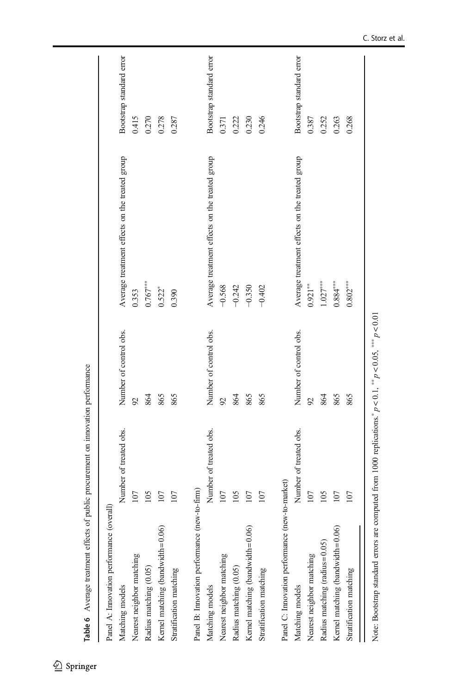<span id="page-21-0"></span>

| Panel A: Innovation performance (overall)       |                        |                        |                                                |                          |
|-------------------------------------------------|------------------------|------------------------|------------------------------------------------|--------------------------|
| Matching models                                 | Number of treated obs. | Number of control obs. | Average treatment effects on the treated group | Bootstrap standard error |
| Nearest neighbor matching                       | 107                    | $\overline{56}$        | 0.353                                          | 0.415                    |
| Radius matching (0.05)                          | 105                    | 864                    | $0.767***$                                     | 0.270                    |
| Kernel matching (bandwidth=0.06)                | 107                    | 865                    | $0.522*$                                       | 0.278                    |
| Stratification matching                         | 107                    | 865                    | 0.390                                          | 0.287                    |
| Panel B: Innovation performance (new-to-firm)   |                        |                        |                                                |                          |
| Matching models                                 | Number of treated obs. | Number of control obs. | Average treatment effects on the treated group | Bootstrap standard error |
| Nearest neighbor matching                       | 107                    | $\overline{56}$        | $-0.568$                                       | 0.371                    |
| Radius matching (0.05)                          | 105                    | 864                    | $-0.242$                                       | 0.222                    |
| Kernel matching (bandwidth=0.06)                | 107                    | 865                    | $-0.350$                                       | 0.230                    |
| Stratification matching                         | 107                    | 865                    | $-0.402$                                       | 0.246                    |
| Panel C: Innovation performance (new-to-market) |                        |                        |                                                |                          |
| Matching models                                 | Number of treated obs. | Number of control obs. | Average treatment effects on the treated group | Bootstrap standard error |
| Nearest neighbor matching                       | 107                    | $\overline{56}$        | $0.921***$                                     | 0.387                    |
| Radius matching (radius=0.05)                   | 105                    | 864                    | $1.027***$                                     | 0.252                    |
| Kernel matching (bandwidth=0.06)                | 107                    | 865                    | $0.884***$                                     | 0.263                    |
| Stratification matching                         | 107                    | 865                    | $0.802***$                                     | 0.268                    |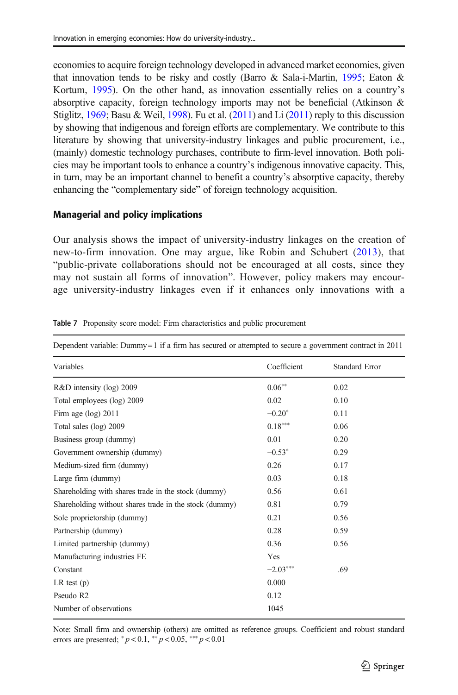<span id="page-22-0"></span>economies to acquire foreign technology developed in advanced market economies, given that innovation tends to be risky and costly (Barro & Sala-i-Martin, [1995;](#page-37-0) Eaton & Kortum, [1995\)](#page-37-0). On the other hand, as innovation essentially relies on a country's absorptive capacity, foreign technology imports may not be beneficial (Atkinson & Stiglitz,  $1969$ ; Basu & Weil,  $1998$ ). Fu et al.  $(2011)$  $(2011)$  and Li  $(2011)$  reply to this discussion by showing that indigenous and foreign efforts are complementary. We contribute to this literature by showing that university-industry linkages and public procurement, i.e., (mainly) domestic technology purchases, contribute to firm-level innovation. Both policies may be important tools to enhance a country's indigenous innovative capacity. This, in turn, may be an important channel to benefit a country's absorptive capacity, thereby enhancing the "complementary side" of foreign technology acquisition.

### Managerial and policy implications

Our analysis shows the impact of university-industry linkages on the creation of new-to-firm innovation. One may argue, like Robin and Schubert [\(2013\)](#page-40-0), that "public-private collaborations should not be encouraged at all costs, since they may not sustain all forms of innovation". However, policy makers may encourage university-industry linkages even if it enhances only innovations with a

| Dependent variable: Dummy=1 if a firm has secured or attempted to secure a government contract in 2011 |             |                       |  |
|--------------------------------------------------------------------------------------------------------|-------------|-----------------------|--|
| Variables                                                                                              | Coefficient | <b>Standard Error</b> |  |
| R&D intensity (log) 2009                                                                               | $0.06***$   | 0.02                  |  |
| Total employees (log) 2009                                                                             | 0.02        | 0.10                  |  |
| Firm age $(log)$ 2011                                                                                  | $-0.20*$    | 0.11                  |  |
| Total sales (log) 2009                                                                                 | $0.18***$   | 0.06                  |  |
| Business group (dummy)                                                                                 | 0.01        | 0.20                  |  |
| Government ownership (dummy)                                                                           | $-0.53*$    | 0.29                  |  |
| Medium-sized firm (dummy)                                                                              | 0.26        | 0.17                  |  |
| Large firm (dummy)                                                                                     | 0.03        | 0.18                  |  |
| Shareholding with shares trade in the stock (dummy)                                                    | 0.56        | 0.61                  |  |
| Shareholding without shares trade in the stock (dummy)                                                 | 0.81        | 0.79                  |  |
| Sole proprietorship (dummy)                                                                            | 0.21        | 0.56                  |  |
| Partnership (dummy)                                                                                    | 0.28        | 0.59                  |  |
| Limited partnership (dummy)                                                                            | 0.36        | 0.56                  |  |
| Manufacturing industries FE                                                                            | Yes         |                       |  |
| Constant                                                                                               | $-2.03***$  | .69                   |  |
| $LR$ test $(p)$                                                                                        | 0.000       |                       |  |
| Pseudo R <sub>2</sub>                                                                                  | 0.12        |                       |  |
| Number of observations                                                                                 | 1045        |                       |  |
|                                                                                                        |             |                       |  |

Table 7 Propensity score model: Firm characteristics and public procurement

Note: Small firm and ownership (others) are omitted as reference groups. Coefficient and robust standard errors are presented;  $^{*} p < 0.1$ ,  $^{**} p < 0.05$ ,  $^{***} p < 0.01$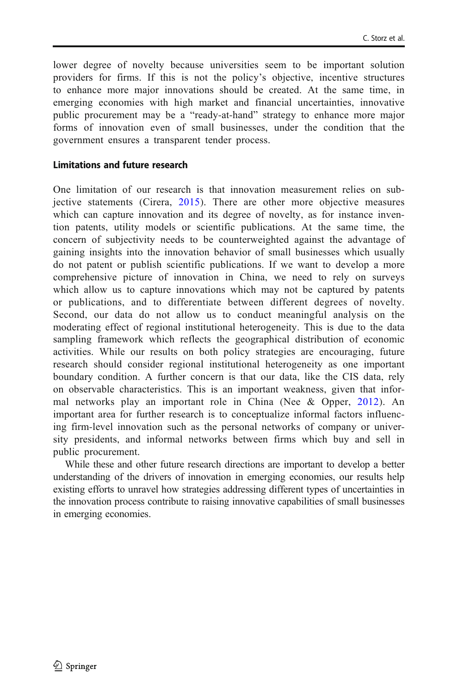<span id="page-23-0"></span>lower degree of novelty because universities seem to be important solution providers for firms. If this is not the policy's objective, incentive structures to enhance more major innovations should be created. At the same time, in emerging economies with high market and financial uncertainties, innovative public procurement may be a "ready-at-hand" strategy to enhance more major forms of innovation even of small businesses, under the condition that the government ensures a transparent tender process.

## Limitations and future research

One limitation of our research is that innovation measurement relies on subjective statements (Cirera, [2015](#page-37-0)). There are other more objective measures which can capture innovation and its degree of novelty, as for instance invention patents, utility models or scientific publications. At the same time, the concern of subjectivity needs to be counterweighted against the advantage of gaining insights into the innovation behavior of small businesses which usually do not patent or publish scientific publications. If we want to develop a more comprehensive picture of innovation in China, we need to rely on surveys which allow us to capture innovations which may not be captured by patents or publications, and to differentiate between different degrees of novelty. Second, our data do not allow us to conduct meaningful analysis on the moderating effect of regional institutional heterogeneity. This is due to the data sampling framework which reflects the geographical distribution of economic activities. While our results on both policy strategies are encouraging, future research should consider regional institutional heterogeneity as one important boundary condition. A further concern is that our data, like the CIS data, rely on observable characteristics. This is an important weakness, given that informal networks play an important role in China (Nee & Opper, [2012\)](#page-39-0). An important area for further research is to conceptualize informal factors influencing firm-level innovation such as the personal networks of company or university presidents, and informal networks between firms which buy and sell in public procurement.

While these and other future research directions are important to develop a better understanding of the drivers of innovation in emerging economies, our results help existing efforts to unravel how strategies addressing different types of uncertainties in the innovation process contribute to raising innovative capabilities of small businesses in emerging economies.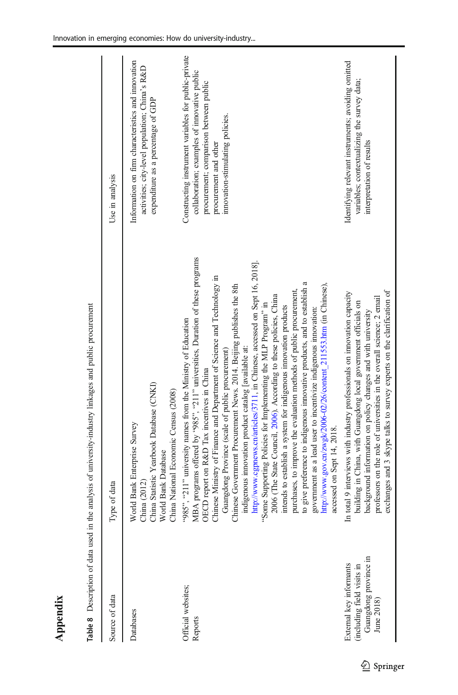|                                                                                              | able $\alpha$ Description of data used in the analysis of university-industry in kages and public procurement                                                                                                                                                                                                                                                                                                                                                                                                                                                                                                                                                                                                                                                                                                                                                                                                                                                                                                                                                                    |                                                                                                                                                                                                             |
|----------------------------------------------------------------------------------------------|----------------------------------------------------------------------------------------------------------------------------------------------------------------------------------------------------------------------------------------------------------------------------------------------------------------------------------------------------------------------------------------------------------------------------------------------------------------------------------------------------------------------------------------------------------------------------------------------------------------------------------------------------------------------------------------------------------------------------------------------------------------------------------------------------------------------------------------------------------------------------------------------------------------------------------------------------------------------------------------------------------------------------------------------------------------------------------|-------------------------------------------------------------------------------------------------------------------------------------------------------------------------------------------------------------|
| Source of data                                                                               | Type of data                                                                                                                                                                                                                                                                                                                                                                                                                                                                                                                                                                                                                                                                                                                                                                                                                                                                                                                                                                                                                                                                     | Use in analysis                                                                                                                                                                                             |
| Databases                                                                                    | China Statistic Yearbook Database (CNKI)<br>China National Economic Census (2008)<br>World Bank Enterprise Survey<br>World Bank Database<br>China (2012)                                                                                                                                                                                                                                                                                                                                                                                                                                                                                                                                                                                                                                                                                                                                                                                                                                                                                                                         | Information on firm characteristics and innovation<br>activities; city-level population; China's R&D<br>expenditure as a percentage of GDP                                                                  |
| Official websites;<br>Reports                                                                | MBA programs offered by "985", "211" universities, Duration of these programs<br>http://www.cgpnews.cn/articles/3711, in Chinese, accessed on Sept 16, 2018].<br>Chinese Ministry of Finance and Department of Science and Technology in<br>to give preference to indigenous innovative products, and to establish a<br>http://www.gov.cn/zwgk/2006-02/26/content_211553.htm (in Chinese),<br>Chinese Government Procurement News. 2014. Beijing publishes the 8th<br>purchases, to improve the evaluation methods of public procurement,<br>2006 (The State Council, 2006). According to these policies, China<br>"Some Supporting Policies for Implementing the MLP Program" in<br>intends to establish a system for indigenous innovation products<br>government as a lead user to incentivize indigenous innovation:<br>"985", "211" university names from the Ministry of Education<br>indigenous innovation product catalog [available at:<br>Guangdong Province (scale of public procurement)<br>OECD report on R&D Tax incentives in China<br>accessed on Sept 14, 2018. | Constructing instrument variables for public-private<br>collaboration; examples of innovative public<br>procurement; comparison between public<br>innovation-stimulating policies.<br>procurement and other |
| Guangdong province in<br>External key informants<br>(including field visits in<br>June 2018) | exchanges and 3 skype talks to survey experts on the clarification of<br>In total 9 interviews with industry professionals on innovation capacity<br>professors on the role of universities in the overall science; 2 email<br>building in China, with Guangdong local government officials on<br>background information on policy changes and with university                                                                                                                                                                                                                                                                                                                                                                                                                                                                                                                                                                                                                                                                                                                   | Identifying relevant instruments; avoiding omitted<br>variables; contextualizing the survey data;<br>interpretation of results                                                                              |

Table 8 Description of data used in the analysis of university-industry linkages and public procurement ر:<br>اما Į.  $\ddot{\cdot}$ J.  $\overline{\phantom{a}}$ l, t ţ j.  $\ddot{ }$ j Table 8 Desc

J,

Appendix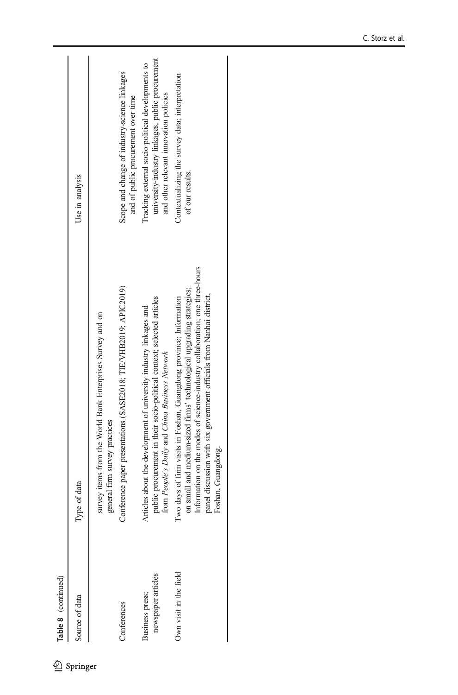| Table 8 (continued)                   |                                                                                                                                                                                                                                                                                                                         |                                                                                                                                                 |
|---------------------------------------|-------------------------------------------------------------------------------------------------------------------------------------------------------------------------------------------------------------------------------------------------------------------------------------------------------------------------|-------------------------------------------------------------------------------------------------------------------------------------------------|
| Source of data                        | lype of data                                                                                                                                                                                                                                                                                                            | Use in analysis                                                                                                                                 |
| Conferences                           | Conference paper presentations (SASE2018; TIE/VHB2019; APIC2019)<br>survey items from the World Bank Enterprises Survey and on<br>general firm survey practices                                                                                                                                                         | Scope and change of industry-science linkages<br>and of public procurement over time                                                            |
| newspaper articles<br>Business press; | public procurement in their socio-political context; selected articles<br>Articles about the development of university-industry linkages and<br>from People's Daily and China Business Network                                                                                                                          | university-industry linkages, public procurement<br>Tracking external socio-political developments to<br>and other relevant innovation policies |
| Own visit in the field                | Information on the modes of science-industry collaboration; one three-hours<br>on small and medium-sized firms' technological upgrading strategies;<br>panel discussion with six government officials from Nanhai district,<br>Two days of firm visits in Foshan, Guangdong province; Information<br>Foshan, Guangdong. | Contextualizing the survey data; interpretation<br>of our results.                                                                              |
|                                       |                                                                                                                                                                                                                                                                                                                         |                                                                                                                                                 |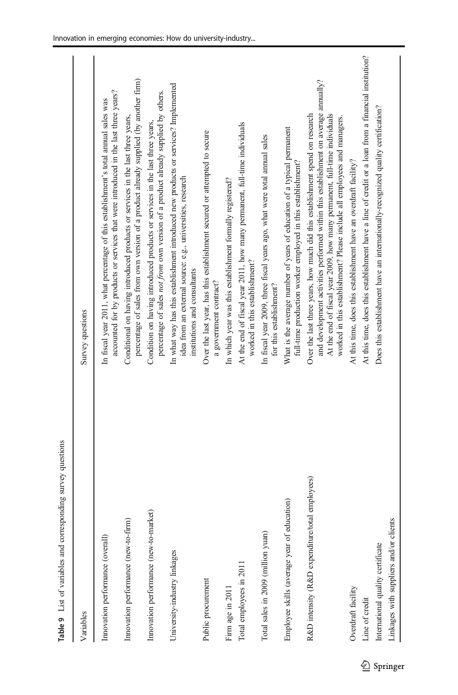| Variables                                       | Survey questions                                                                                                                                                                                                                                                                                                             |
|-------------------------------------------------|------------------------------------------------------------------------------------------------------------------------------------------------------------------------------------------------------------------------------------------------------------------------------------------------------------------------------|
| Innovation performance (overall)                | accounted for by products or services that were introduced in the last three years?<br>In fiscal year 2011, what percentage of this establishment's total annual sales was                                                                                                                                                   |
| Innovation performance (new-to-firm)            | percentage of sales from own version of a product already supplied (by another firm)<br>Conditional on having introduced products or services in the last three years,                                                                                                                                                       |
| Innovation performance (new-to-market)          | percentage of sales not from own version of a product already supplied by others.<br>Condition on having introduced products or services in the last three years,                                                                                                                                                            |
| University-industry linkages                    | In what way has this establishment introduced new products or services? Implemented<br>idea from an external source: e.g., universities, research<br>institutions and consultants                                                                                                                                            |
| Public procurement                              | Over the last year, has this establishment secured or attempted to secure<br>a government contract?                                                                                                                                                                                                                          |
| Firm age in 2011                                | In which year was this establishment formally registered?                                                                                                                                                                                                                                                                    |
| Total employees in 2011                         | At the end of fiscal year 2011, how many permanent, full-time individuals<br>worked in this establishment?                                                                                                                                                                                                                   |
| Total sales in 2009 (million yuan)              | In fiscal year 2009, three fiscal years ago, what were total annual sales<br>for this establishment?                                                                                                                                                                                                                         |
| Employee skills (average year of education)     | What is the average number of years of education of a typical permanent<br>full-time production worker employed in this establishment?                                                                                                                                                                                       |
| R&D intensity (R&D expenditure/total employees) | and development activities performed within this establishment on average annually?<br>Over the last three years, how much did this establishment spend on research<br>At the end of fiscal year 2009, how many permanent, full-time individuals<br>worked in this establishment? Please include all employees and managers. |
| Overdraft facility                              | At this time, does this establishment have an overdraft facility?                                                                                                                                                                                                                                                            |
| Line of credit                                  | At this time, does this establishment have a line of credit or a loan from a financial institution?                                                                                                                                                                                                                          |
| International quality certificate               | Does this establishment have an internationally-recognized quality certification?                                                                                                                                                                                                                                            |

Linkages with suppliers and/or clients

 $\overline{\phantom{a}}$ 

Linkages with suppliers and/or clients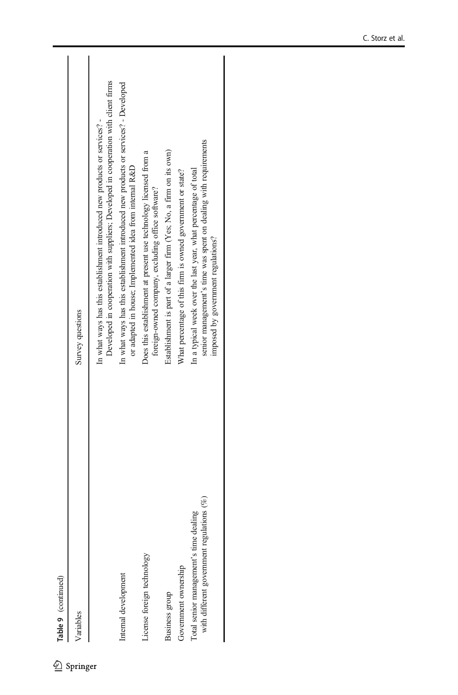| Table 9 (continued)                                                                 |                                                                                                                                                                         |
|-------------------------------------------------------------------------------------|-------------------------------------------------------------------------------------------------------------------------------------------------------------------------|
| Variables                                                                           | Survey questions                                                                                                                                                        |
|                                                                                     | Developed in cooperation with suppliers; Developed in cooperation with client firms<br>In what ways has this establishment introduced new products or services? -       |
| Internal development                                                                | In what ways has this establishment introduced new products or services? - Developed<br>or adapted in house; Implemented idea from internal R&D                         |
| License foreign technology                                                          | Does this establishment at present use technology licensed from a<br>foreign-owned company, excluding office software?                                                  |
| Business group                                                                      | Establishment is part of a larger firm (Yes; No, a firm on its own)                                                                                                     |
| Government ownership                                                                | What percentage of this firm is owned government or state?                                                                                                              |
| with different government regulations (%)<br>Total senior management's time dealing | senior management's time was spent on dealing with requirements<br>In a typical week over the last year, what percentage of total<br>imposed by government regulations? |
|                                                                                     |                                                                                                                                                                         |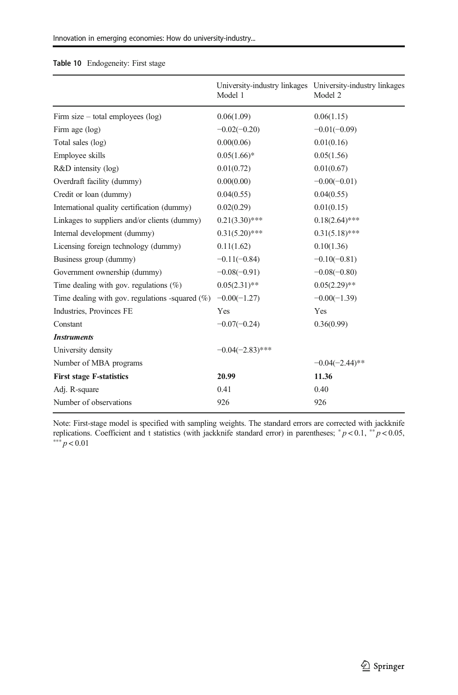#### Table 10 Endogeneity: First stage

|                                                    | University-industry linkages University-industry linkages<br>Model 1 | Model 2           |
|----------------------------------------------------|----------------------------------------------------------------------|-------------------|
| Firm size – total employees $(\log)$               | 0.06(1.09)                                                           | 0.06(1.15)        |
| Firm age $(log)$                                   | $-0.02(-0.20)$                                                       | $-0.01(-0.09)$    |
| Total sales (log)                                  | 0.00(0.06)                                                           | 0.01(0.16)        |
| Employee skills                                    | $0.05(1.66)$ *                                                       | 0.05(1.56)        |
| R&D intensity (log)                                | 0.01(0.72)                                                           | 0.01(0.67)        |
| Overdraft facility (dummy)                         | 0.00(0.00)                                                           | $-0.00(-0.01)$    |
| Credit or loan (dummy)                             | 0.04(0.55)                                                           | 0.04(0.55)        |
| International quality certification (dummy)        | 0.02(0.29)                                                           | 0.01(0.15)        |
| Linkages to suppliers and/or clients (dummy)       | $0.21(3.30)$ ***                                                     | $0.18(2.64)$ ***  |
| Internal development (dummy)                       | $0.31(5.20)$ ***                                                     | $0.31(5.18)$ ***  |
| Licensing foreign technology (dummy)               | 0.11(1.62)                                                           | 0.10(1.36)        |
| Business group (dummy)                             | $-0.11(-0.84)$                                                       | $-0.10(-0.81)$    |
| Government ownership (dummy)                       | $-0.08(-0.91)$                                                       | $-0.08(-0.80)$    |
| Time dealing with gov. regulations $(\%)$          | $0.05(2.31)$ **                                                      | $0.05(2.29)$ **   |
| Time dealing with gov. regulations -squared $(\%)$ | $-0.00(-1.27)$                                                       | $-0.00(-1.39)$    |
| Industries, Provinces FE                           | Yes                                                                  | Yes               |
| Constant                                           | $-0.07(-0.24)$                                                       | 0.36(0.99)        |
| <b>Instruments</b>                                 |                                                                      |                   |
| University density                                 | $-0.04(-2.83)$ ***                                                   |                   |
| Number of MBA programs                             |                                                                      | $-0.04(-2.44)$ ** |
| <b>First stage F-statistics</b>                    | 20.99                                                                | 11.36             |
| Adj. R-square                                      | 0.41                                                                 | 0.40              |
| Number of observations                             | 926                                                                  | 926               |

Note: First-stage model is specified with sampling weights. The standard errors are corrected with jackknife replications. Coefficient and t statistics (with jackknife standard error) in parentheses;  $p < 0.1$ ,  $\binom{*}{p} < 0.05$ , \*\*\*  $p < 0.01$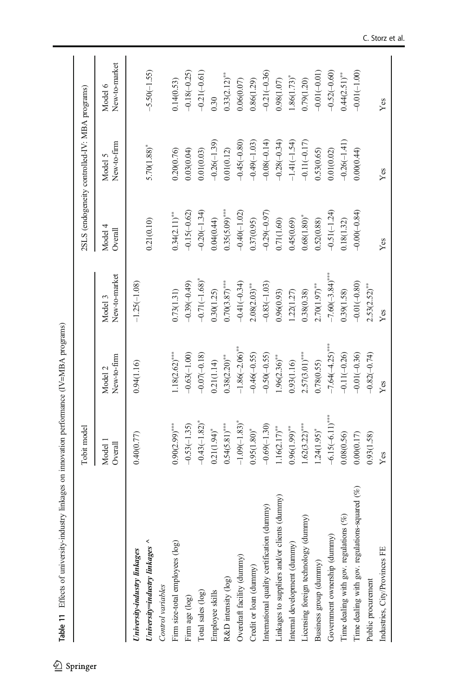|                                                 | Tobit model                 |                              |                             |                    | 2SLS (endogeneity controlled-IV: MBA programs) |                             |
|-------------------------------------------------|-----------------------------|------------------------------|-----------------------------|--------------------|------------------------------------------------|-----------------------------|
|                                                 | Model 1<br>Overall          | New-to-firm<br>Model 2       | New-to-market<br>Model 3    | Model 4<br>Overall | New-to-firm<br>Model 5                         | New-to-market<br>Model 6    |
| University-industry linkages                    | 0.40(0.77)                  | 0.94(1.16)                   | $-1.25(-1.08)$              |                    |                                                |                             |
| University=industry linkages                    |                             |                              |                             | 0.21(0.10)         | $5.70(1.88)$ <sup>*</sup>                      | $-5.50(-1.55)$              |
| Control variables                               |                             |                              |                             |                    |                                                |                             |
| Firm size-total employees (log)                 | $0.90(2.99)$ ***            | $1.18(2.62)$ ***             | 0.73(1.31)                  | $0.34(2.11)^{***}$ | 0.20(0.76)                                     | 0.14(0.53)                  |
| Firm age (log)                                  | $-0.53(-1.35)$              | $-0.63(-1.00)$               | $-0.39(-0.49)$              | $-0.15(-0.62)$     | 0.03(0.04)                                     | $-0.18(-0.25)$              |
| Total sales (log)                               | $-0.43(-1.82)$ <sup>*</sup> | $-0.07(-0.18)$               | $-0.71(-1.68)$              | $-0.20(-1.34)$     | 0.01(0.03)                                     | $-0.21(-0.61)$              |
| Employee skills                                 | $0.21(1.94)$ *              | 0.21(1.14)                   | 0.30(1.25)                  | 0.04(0.44)         | $-0.26(-1.39)$                                 | 0.30                        |
| R&D intensity (log)                             | $0.54(5.81)$ ***            | $0.38(2.20)$ <sup>**</sup>   | $0.70(3.87)$ ***            | $0.35(5.09)$ ***   | 0.01(0.12)                                     | $0.33(2.12)$ **             |
| Overdraft facility (dummy)                      | $-1.09(-1.83)$ <sup>*</sup> | $-1.86(-2.06)$ <sup>**</sup> | $-0.41(-0.34)$              | $-0.40(-1.02)$     | $-0.45(-0.80)$                                 | 0.06(0.07)                  |
| Credit or loan (dummy)                          | $0.95(1.80)$ <sup>*</sup>   | $-0.46(-0.55)$               | $2.08(2.03)$ **             | 0.37(0.95)         | $-0.49(-1.03)$                                 | 0.86(1.29)                  |
| International quality certification (dummy)     | $-0.69(-1.30)$              | $-0.50(-0.55)$               | $-0.83(-1.03)$              | $-0.29(-0.97)$     | $-0.08(-0.14)$                                 | $-0.21(-0.36)$              |
| Linkages to suppliers and/or clients (dummy)    | $1.16(2.17)$ <sup>***</sup> | $1.96(2.36)$ <sup>***</sup>  | 0.96(0.93)                  | 0.71(1.60)         | $-0.28(-0.34)$                                 | 0.98(1.07)                  |
| Internal development (dummy)                    | $0.96(1.99)$ **             | 0.93(1.16)                   | 1.22(1.27)                  | 0.45(0.69)         | $-1.41(-1.54)$                                 | $-.86(1.73)$ <sup>*</sup>   |
| Licensing foreign technology (dummy)            | $1.62(3.22)$ ***            | $2.57(3.01)$ <sup>****</sup> | 0.38(0.38)                  | $0.68(1.80)^*$     | $-0.11(-0.17)$                                 | 0.79(1.20)                  |
| Business group (dummy)                          | $1.24(1.95)$ <sup>*</sup>   | 0.78(0.55)                   | $2.70(1.97)$ **             | 0.52(0.88)         | 0.53(0.65)                                     | $-0.01(-0.01)$              |
| Government ownership (dummy)                    | $-6.15(-6.11)$ ***          | $-7.64(-4.25)$ ***           | $-7.60(-3.84)$ ***          | $-0.51(-1.24)$     | 0.01(0.02)                                     | $-0.52(-0.60)$              |
| Time dealing with gov. regulations (%)          | 0.08(0.56)                  | $-0.11(-0.26)$               | 0.39(1.58)                  | 0.18(1.32)         | $-0.26(-1.41)$                                 | $0.44(2.51)$ <sup>***</sup> |
| Time dealing with gov. regulations-squared $(%$ | 0.00(0.17)                  | $-0.01(-0.36)$               | $-0.01(-0.80)$              | $-0.00(-0.84)$     | 0.00(0.44)                                     | $-0.01(-1.00)$              |
| Public procurement                              | 0.93(1.58)                  | $-0.82(-0.74)$               | $2.53(2.52)$ <sup>***</sup> |                    |                                                |                             |
| Industries, City/Provinces FE                   | Yes                         | Yes                          | Yes                         | Yes                | Yes                                            | Yes                         |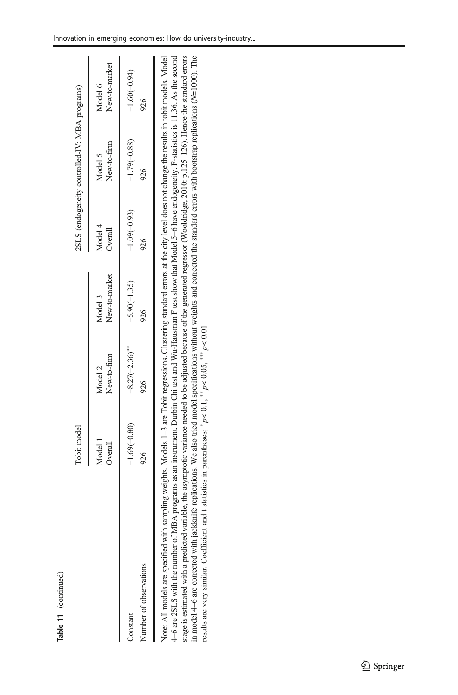|                                                                                                                                                                                                                               | Tobit model        |                        |                          |                    | 2SLS (endogeneity controlled-IV: MBA programs) |                          |
|-------------------------------------------------------------------------------------------------------------------------------------------------------------------------------------------------------------------------------|--------------------|------------------------|--------------------------|--------------------|------------------------------------------------|--------------------------|
|                                                                                                                                                                                                                               | Model 1<br>Overall | New-to-firm<br>Model 2 | New-to-market<br>Model 3 | Model 4<br>Overall | New-to-firm<br>Model 5                         | New-to-market<br>Model 6 |
| onstant                                                                                                                                                                                                                       | $-1.69(-0.80)$     | $-8.27(-2.36)$ **      | $-5.90(-1.35)$           | $-1.09(-0.93)$     | $-1.79(-0.88)$                                 | $-1.60(-0.94)$           |
| Number of observations                                                                                                                                                                                                        | 926                | 926                    | 926                      | 926                | 926                                            | 926                      |
| The Moral Contrast the second to the light of the Moral Contrast of the Human School Contrast the Contrast of the Contrast of the Contrast of the Contrast of the Contrast of the Contrast of the Contrast of the Contrast of |                    |                        |                          |                    |                                                |                          |

stage is estimated with a predicted variable, the asymptotic variance needed to be adjusted because of the generated regressor (Wooldridge, 2010; p.125-126). Hence the standard errors Note: All models are specified with sampling weights. Models 1-3 are Tobit regressions. Clustering standard errors at the city level does not change the results in tobit models. Model 4-6 are 2SLS with the number of MBA programs as an instrument. Durbin Chi test and Wu-Hausman F test show that Model 5-6 have endogeneity. F-statistics is 11.36. As the second Note: All models are specified with sampling weights. Models 1–3 are Tobit regressions. Clustering standard errors at the city level does not change the results in tobit models. Model 4–6 are 2SLS with the number of MBA programs as an instrument. Durbin Chi test and Wu-Hausman F test show that Model 5–6 have endogeneity. F-statistics is 11.36. As the second stage is estimated with a predicted variable, the asymptotic variance needed to be adjusted because of the generated regressor (Wooldridge, 2010: p.125–126). Hence the standard errors in model 4–6 are corrected with jackknife replications. We also tried model specifications without weights and corrected the standard errors with bootstrap replications (N=1000). The  $p< 0.01$  $p$  < 0.05, \*\*\* results are very similar. Coefficient and t statistics in parentheses;  $* p < 0.1$ ,  $**$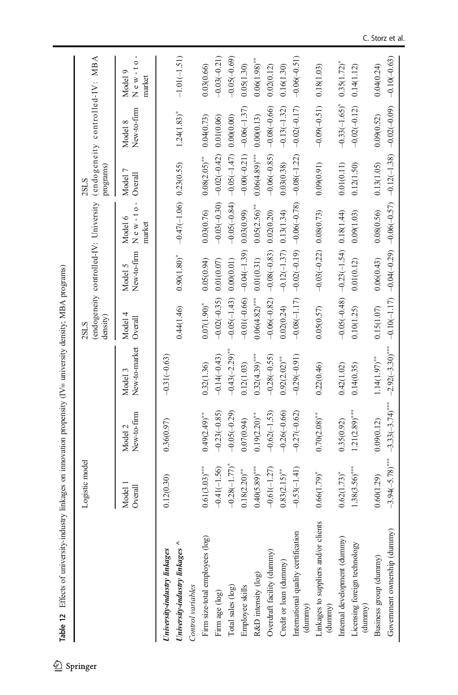| Table 12 Effects of university-industry linkages on innovation propensity (IV= university density; MBA programs) |                             |                             |                          |                           |                                          |                                        |                                                              |                                          |                                |
|------------------------------------------------------------------------------------------------------------------|-----------------------------|-----------------------------|--------------------------|---------------------------|------------------------------------------|----------------------------------------|--------------------------------------------------------------|------------------------------------------|--------------------------------|
|                                                                                                                  | Logistic model              |                             |                          | density)<br>2SLS          |                                          | (endogeneity controlled-IV: University | programs)<br>2SLS                                            | (endogeneity controlled-IV: MBA          |                                |
|                                                                                                                  | Model 1<br>Overall          | New-to-firm<br>Model 2      | New-to-market<br>Model 3 | Model 4<br>Overall        | New-to-firm<br>Model 5                   | $New-to$<br>Model 6<br>market          | Model 7<br>Overall                                           | New-to-firm<br>Model 8                   | $N$ ew-to<br>Model 9<br>market |
| University-industry linkages                                                                                     | 0.12(0.30)                  | 0.36(0.97)                  | $-0.31(-0.63)$           |                           |                                          |                                        |                                                              |                                          |                                |
| University-industry linkages                                                                                     |                             |                             |                          | 0.44(1.46)                | $0.90(1.80)$ *                           | $-0.47(-1.06)$ 0.23(0.55)              |                                                              | $1.24(1.83)$ <sup>*</sup>                | $-1.01(-1.51)$                 |
| Control variables                                                                                                |                             |                             |                          |                           |                                          |                                        |                                                              |                                          |                                |
| Firm size-total employees (log)                                                                                  | $0.61(3.03)$ ***            | $0.49(2.49)$ ***            | 0.32(1.36)               | $0.07(1.90)$ *            | 0.05(0.94)                               | 0.03(0.76)                             | $0.08(2.05)$ **                                              | 0.04(0.73)                               | 0.03(0.66)                     |
| Firm age (log)                                                                                                   | $-0.41(-1.56)$              | $-0.23(-0.85)$              | $-0.14(-0.43)$           | $-0.02(-0.35)$            | 0.01(0.07)                               |                                        | $-0.03(-0.30) -0.02(-0.42)$                                  | 0.01(0.06)                               | $-0.03(-0.21)$                 |
| Total sales (log)                                                                                                | $-0.28(-1.77)$ <sup>*</sup> | $-0.05(-0.29)$              | $-0.43(-2.29)$ **        | $-0.05(-1.43)$ 0.00(0.01) |                                          |                                        | $-0.05(-0.84) -0.05(-1.47)$                                  | 0.00(0.00)                               | $-0.05(-0.69)$                 |
| Employee skills                                                                                                  | $0.18(2.20)$ **             | 0.07(0.94)                  | 0.12(1.03)               | $-0.01(-0.66)$            | $-0.04(-1.39)$                           | 0.03(0.99)                             | $-0.00(-0.21)$                                               | $-0.06(-1.37)$                           | 0.05(1.30)                     |
| R&D intensity (log)                                                                                              | $0.40(5.89)$ ***            | $0.19(2.20)$ <sup>***</sup> | $0.32(4.39)$ ***         | $0.06(4.82)$ ***          | 0.01(0.31)                               | $0.05(2.56)$ **                        | $0.06(4.89)$ ***                                             | 0.00(0.13)                               | $0.06(1.98)$ **                |
| Overdraft facility (dummy)                                                                                       | $-0.61(-1.27)$              | $-0.62(-1.53)$              | $-0.28(-0.55)$           | $-0.06(-0.82)$            | $-0.08(-0.83)$                           | 0.02(0.20)                             | $-0.06(-0.85)$                                               | $-0.08(-0.66)$                           | 0.02(0.12)                     |
| Credit or loan (dummy)                                                                                           | $0.83(2.15)$ **             | $-0.26(-0.66)$              | $0.92(2.02)$ **          | 0.02(0.24)                | $-0.12(-1.37)$ 0.13(1.34)                |                                        | 0.03(0.38)                                                   | $-0.13(-1.32)$                           | 0.16(1.30)                     |
| International quality certification<br>(dunmy)                                                                   | $-0.53(-1.41)$              | $-0.27(-0.62)$              | $-0.29(-0.91)$           |                           |                                          | $-0.08(-0.17)$ $-0.03(-0.19)$ $-0.078$ | $-0.08(-1.22)$ $-0.02(-0.17)$                                |                                          | $-0.06(-0.51)$                 |
| Linkages to suppliers and/or clients<br>(dunmy)                                                                  | $0.66(1.79)^*$              | $0.70(2.08)$ **             | 0.22(0.46)               | 0.05(0.57)                | $-0.03(-0.22)$                           | 0.08(0.73)                             | 0.09(0.91)                                                   | $-0.09(-0.51)$                           | 0.18(1.03)                     |
| Internal development (dummy)                                                                                     | $0.62(1.73)^*$              | 0.35(0.92)                  | 0.42(1.02)               |                           | $-0.05(-0.48)$ $-0.23(-1.54)$ 0.18(1.44) |                                        | 0.01(0.11)                                                   | $-0.33(-1.65)^*$ 0.35(1.72) <sup>*</sup> |                                |
| Licensing foreign technology<br>(dunnny)                                                                         | $1.38(3.56)$ ***            | $1.21(2.89)$ ****           | 0.14(0.35)               | 0.10(1.25)                | 0.01(0.12)                               | 0.09(1.03)                             | 0.12(1.50)                                                   | $-0.02(-0.12)$                           | 0.14(1.12)                     |
| Business group (dummy)                                                                                           | 0.60(1.29)                  | 0.09(0.12)                  | $1.14(1.97)$ **          | 0.15(1.07)                | 0.06(0.43)                               | 0.08(0.56)                             | 0.13(1.05)                                                   | 0.09(0.52)                               | 0.04(0.24)                     |
| Government ownership (dummy)                                                                                     | $-3.94(-5.78)$ ***          | $-3.33(-3.74)$ ***          | $-2.92(-3.30)$ ***       |                           |                                          |                                        | $-0.10(-1.7)$ $-0.04(-0.57)$ $-0.000(-0.57)$ $-0.02(-0.207)$ |                                          | $-0.10(-0.63)$                 |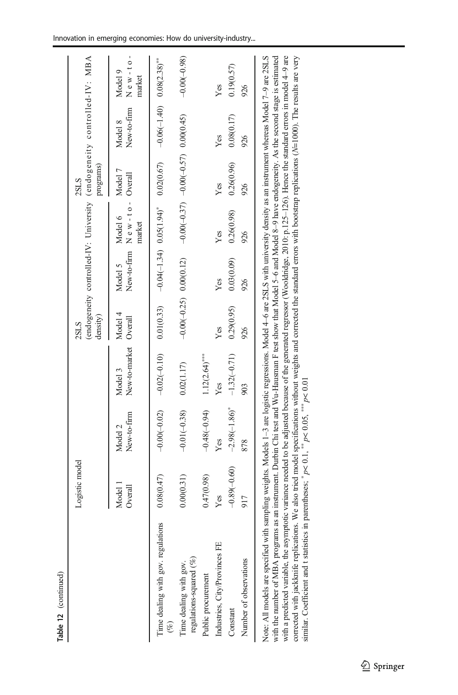|                                                                                                                                                                                                                                                                                                                                                                                                                                                                                                                                                            | Logistic model   |                        |                                                                                                 | density)<br>2SLS |                        |                                              | (endogeneity controlled-IV: University (endogeneity controlled-IV: MBA<br>programs)<br>2SLS                                                                                                                                  |                        |                                |
|------------------------------------------------------------------------------------------------------------------------------------------------------------------------------------------------------------------------------------------------------------------------------------------------------------------------------------------------------------------------------------------------------------------------------------------------------------------------------------------------------------------------------------------------------------|------------------|------------------------|-------------------------------------------------------------------------------------------------|------------------|------------------------|----------------------------------------------|------------------------------------------------------------------------------------------------------------------------------------------------------------------------------------------------------------------------------|------------------------|--------------------------------|
|                                                                                                                                                                                                                                                                                                                                                                                                                                                                                                                                                            | Model<br>Overall | New-to-firm<br>Model 2 | New-to-market Overall<br>Model 3                                                                | Model 4          | New-to-firm<br>Model 5 | $N e W - t o - Overall$<br>Model 6<br>market | Model 7                                                                                                                                                                                                                      | New-to-firm<br>Model 8 | $New-to-$<br>Model 9<br>market |
| Time dealing with gov. regulations<br>$(\%)$                                                                                                                                                                                                                                                                                                                                                                                                                                                                                                               | 0.08(0.47)       |                        | **(8ε'ζ)80'0 (0τ'1→90'0− (∠9'Θ)20'0 *(τ6'l)90'0(τε'1→τ0'0− (εε'0)10'0 (01'0→20'0 − (20'0-)00'0− |                  |                        |                                              |                                                                                                                                                                                                                              |                        |                                |
| regulations-squared (%)<br>Time dealing with gov.                                                                                                                                                                                                                                                                                                                                                                                                                                                                                                          | 0.00(0.31)       | $-0.01(-0.38)$         | 0.02(1.17)                                                                                      |                  |                        |                                              | $-0.00(0.57)$ 0.00000 - 0.00000 - 0.0000 - 0.0000 - 0.0000 - 0.0000 - 0.0000 - 0.0000 - 0.0000 - 0.0000 - 0.0000 - 0.0000 - 0.0000 - 0.0000 - 0.0000 - 0.0000 - 0.0000 - 0.0000 - 0.0000 - 0.0000 - 0.0000 - 0.0000 - 0.0000 |                        | $-0.00(-0.98)$                 |
| Public procurement                                                                                                                                                                                                                                                                                                                                                                                                                                                                                                                                         | 0.47(0.98)       | $-0.48(-0.94)$         | $1.12(2.64)$ ***                                                                                |                  |                        |                                              |                                                                                                                                                                                                                              |                        |                                |
| Industries, City/Provinces FE                                                                                                                                                                                                                                                                                                                                                                                                                                                                                                                              | Yes              | Yes                    | Yes                                                                                             | Yes              | Yes                    | Yes                                          | Yes                                                                                                                                                                                                                          | Yes                    | Yes                            |
| Constant                                                                                                                                                                                                                                                                                                                                                                                                                                                                                                                                                   | $-0.89(-0.60)$   | $-2.98(-1.86)$ *       | $-1.32(-0.71)$                                                                                  | 0.29(0.95)       | 0.03(0.09)             | 0.26(0.98)                                   | 0.26(0.96)                                                                                                                                                                                                                   | 0.08(0.17)             | 0.19(0.57)                     |
| Number of observations                                                                                                                                                                                                                                                                                                                                                                                                                                                                                                                                     | 917              | 878                    | 903                                                                                             | 926              | 926                    | 926                                          | 926                                                                                                                                                                                                                          | 926                    | 926                            |
| Note: All models are specified with sampling weights. Models 1–3 are logistic regressions. Model 4–6 are 2SLS with university density as an instrument whereas Model 7–9 are 2SLS<br>with the number of MBA programs as an instrument. Durbin Chi test and Wu-Hausman F test show that Model 5-6 and Model 8-9 have endogeneity. As the second stage is estimated<br>with a predicted variable, the asymptotic variance needed to be adjusted because of the generated regressor (Wooldridge, 2010: p.125-126). Hence the standard errors in model 4-9 are |                  |                        |                                                                                                 |                  |                        |                                              |                                                                                                                                                                                                                              |                        |                                |

similar. Coefficient and t statistics in parentheses;  $p < 0.1$ , \*\*\*

 $p$  < 0.05, \*\*\*

 $p< 0.01$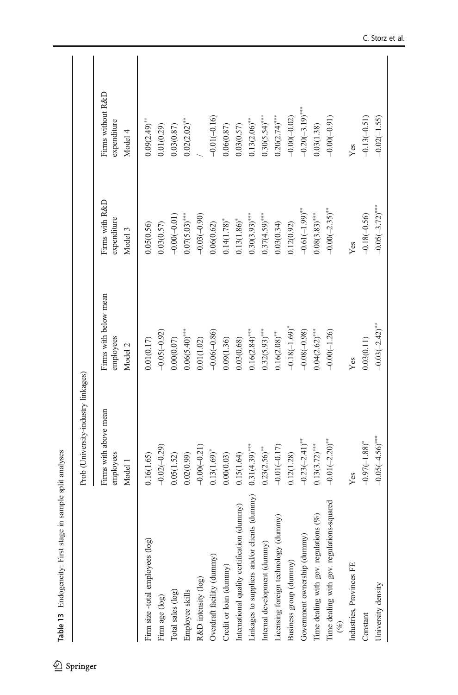|                                                      | Prob (University-industry linkages)           |                                               |                                          |                                             |
|------------------------------------------------------|-----------------------------------------------|-----------------------------------------------|------------------------------------------|---------------------------------------------|
|                                                      | Firms with above mean<br>employees<br>Model 1 | Firms with below mean<br>employees<br>Model 2 | Firms with R&D<br>expenditure<br>Model 3 | Firms without R&D<br>expenditure<br>Model 4 |
| Firm size-total employees (log)<br>Firm age (log)    | $-0.02(-0.29)$<br>0.16(1.65)                  | $-0.05(-0.92)$<br>0.01(0.17)                  | 0.03(0.57)<br>0.05(0.56)                 | $0.09(2.49)$ **<br>0.01(0.29)               |
| Total sales (log)                                    | 0.05(1.52)                                    | 0.00(0.07)                                    | $-0.00(-0.01)$                           | 0.03(0.87)                                  |
| Employee skills                                      | 0.02(0.99)                                    | $0.06(5.40)$ ***                              | $0.07(5.03)$ ***                         | $0.02(2.02)$ <sup>**</sup>                  |
| R&D intensity (log)                                  | $-0.00(-0.21)$                                | 0.01(1.02)                                    | $-0.03(-0.90)$                           |                                             |
| Overdraft facility (dummy)                           | $0.13(1.69)^*$                                | $-0.06(-0.86)$                                | 0.06(0.62)                               | $-0.01(-0.16)$                              |
| Credit or loan (dummy)                               | 0.00(0.03)                                    | 0.09(1.36)                                    | $0.14(1.78)$ <sup>*</sup>                | 0.06(0.87)                                  |
| International quality certification (dummy)          | 0.15(1.64)                                    | 0.03(0.68)                                    | $0.13(1.86)$ <sup>*</sup>                | 0.03(0.57)                                  |
| Linkages to suppliers and/or clients (dummy)         | $0.31(4.39)$ ***                              | $0.16(2.84)$ ***                              | $0.30(3.93)$ ***                         | $0.13(2.06)$ **                             |
| Internal development (dummy)                         | $0.23(2.56)$ **                               | $0.32(5.93)$ ***                              | $0.37(4.59)$ ***                         | $0.30(5.54)$ ***                            |
| Licensing foreign technology (dummy)                 | $-0.01(-0.17)$                                | $0.16(2.08)$ **                               | 0.03(0.34)                               | $0.20(2.74)$ ***                            |
| Business group (dummy)                               | 0.12(1.28)                                    | $-0.18(-1.69)$ *                              | 0.12(0.92)                               | $-0.00(-0.02)$                              |
| Government ownership (dummy)                         | $-0.23(-2.41)$ **                             | $-0.08(-0.98)$                                | $-0.61(-1.99)$ **                        | $-0.20(-3.19)$ ***                          |
| Time dealing with gov. regulations (%)               | $0.13(3.72)$ ***                              | $0.04(2.62)$ ***                              | $0.08(3.83)$ ***                         | 0.03(1.38)                                  |
| Time dealing with gov. regulations-squared<br>$(\%)$ | $-0.01(-2.20)$ <sup>**</sup>                  | $-0.00(-1.26)$                                | $-0.00(-2.35)$ **                        | $-0.00(-0.91)$                              |
| Industries, Provinces FE                             | Yes                                           | Yes                                           | Yes                                      | Yes                                         |
| $\mathop{\mathrm{Constant}}$                         | $-0.97(-1.88)$ *                              | 0.03(0.11)                                    | $-0.18(-0.56)$                           | $-0.13(-0.51)$                              |
| University density                                   | $-0.05(-4.56)$ ***                            | $-0.03(-2.42)$ **                             | $-0.05(-3.72)$ ***                       | $-0.02(-1.55)$                              |

Table 13 Endogeneity: First stage in sample split analyses

Table 13 Endogeneity: First stage in sample split analyses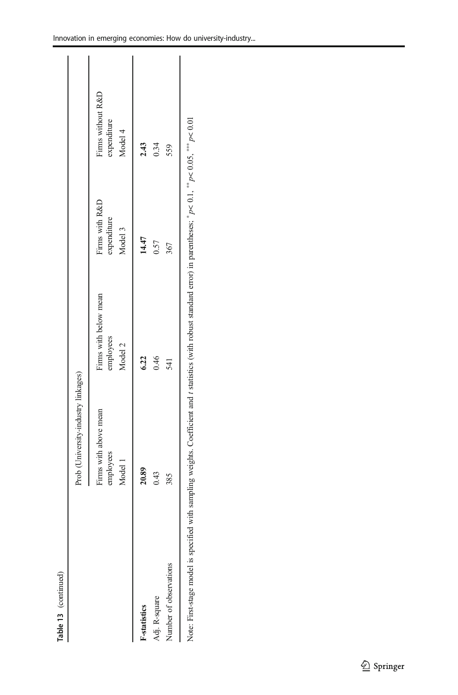|                        | Prob (University-industry linkages)           |                                               |                                          |                                             |
|------------------------|-----------------------------------------------|-----------------------------------------------|------------------------------------------|---------------------------------------------|
|                        | Firms with above mean<br>employees<br>Model 1 | Firms with below mean<br>employees<br>Model 2 | Firms with R&D<br>expenditure<br>Model 3 | Firms without R&D<br>expenditure<br>Model 4 |
| F-statistics           | 20.89                                         | 6.22                                          | 14.47                                    | 2.43                                        |
| Adj. R-square          | 0.43                                          | 0.46                                          | 0.57                                     | 0.34                                        |
| Number of observations | 385                                           | 541                                           | 367                                      | 559                                         |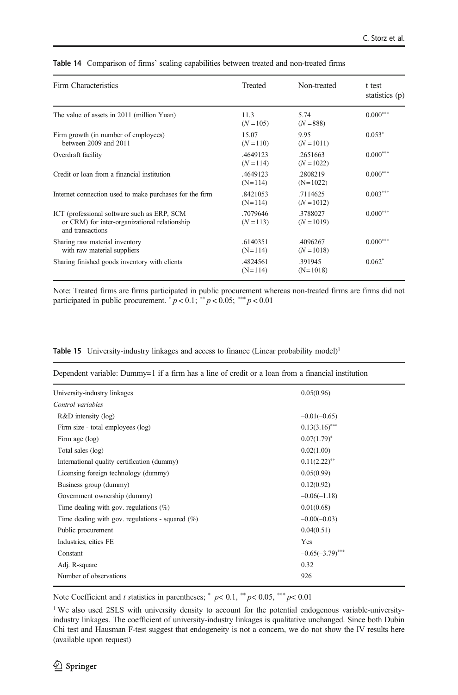| Firm Characteristics                                                                                             | Treated                 | Non-treated              | t test<br>statistics $(p)$ |
|------------------------------------------------------------------------------------------------------------------|-------------------------|--------------------------|----------------------------|
| The value of assets in 2011 (million Yuan)                                                                       | 11.3<br>$(N = 105)$     | 5.74<br>$(N = 888)$      | $0.000***$                 |
| Firm growth (in number of employees)<br>between 2009 and 2011                                                    | 15.07<br>$(N = 110)$    | 9.95<br>$(N = 1011)$     | $0.053*$                   |
| Overdraft facility                                                                                               | .4649123<br>$(N = 114)$ | .2651663<br>$(N = 1022)$ | $0.000***$                 |
| Credit or loan from a financial institution                                                                      | .4649123<br>$(N=114)$   | .2808219<br>$(N=1022)$   | $0.000***$                 |
| Internet connection used to make purchases for the firm                                                          | .8421053<br>$(N=114)$   | .7114625<br>$(N = 1012)$ | $0.003***$                 |
| ICT (professional software such as ERP, SCM<br>or CRM) for inter-organizational relationship<br>and transactions | .7079646<br>$(N = 113)$ | .3788027<br>$(N = 1019)$ | $0.000***$                 |
| Sharing raw material inventory<br>with raw material suppliers                                                    | .6140351<br>$(N=114)$   | .4096267<br>$(N = 1018)$ | $0.000***$                 |
| Sharing finished goods inventory with clients                                                                    | .4824561<br>$(N=114)$   | .391945<br>$(N=1018)$    | $0.062*$                   |

Table 14 Comparison of firms' scaling capabilities between treated and non-treated firms

Note: Treated firms are firms participated in public procurement whereas non-treated firms are firms did not participated in public procurement.  $p < 0.1$ ; \*\*\*  $p < 0.05$ ; \*\*\*  $p < 0.01$ 

|  | Table 15 University-industry linkages and access to finance (Linear probability model) <sup>1</sup> |  |  |  |  |  |  |
|--|-----------------------------------------------------------------------------------------------------|--|--|--|--|--|--|
|--|-----------------------------------------------------------------------------------------------------|--|--|--|--|--|--|

| University-industry linkages                        | 0.05(0.96)         |
|-----------------------------------------------------|--------------------|
| Control variables                                   |                    |
| $R&D$ intensity (log)                               | $-0.01(-0.65)$     |
| Firm size - total employees (log)                   | $0.13(3.16)$ ***   |
| Firm age $(log)$                                    | $0.07(1.79)^*$     |
| Total sales (log)                                   | 0.02(1.00)         |
| International quality certification (dummy)         | $0.11(2.22)^{**}$  |
| Licensing foreign technology (dummy)                | 0.05(0.99)         |
| Business group (dummy)                              | 0.12(0.92)         |
| Government ownership (dummy)                        | $-0.06(-1.18)$     |
| Time dealing with gov. regulations $(\%)$           | 0.01(0.68)         |
| Time dealing with gov. regulations - squared $(\%)$ | $-0.00(-0.03)$     |
| Public procurement                                  | 0.04(0.51)         |
| Industries, cities FE                               | Yes                |
| Constant                                            | $-0.65(-3.79)$ *** |
| Adj. R-square                                       | 0.32               |
| Number of observations                              | 926                |

Dependent variable: Dummy=1 if a firm has a line of credit or a loan from a financial institution

Note Coefficient and t statistics in parentheses; \*  $p$  < 0.1, \*\*  $p$  < 0.05, \*\*\*  $p$  < 0.01

<sup>&</sup>lt;sup>1</sup> We also used 2SLS with university density to account for the potential endogenous variable-universityindustry linkages. The coefficient of university-industry linkages is qualitative unchanged. Since both Dubin Chi test and Hausman F-test suggest that endogeneity is not a concern, we do not show the IV results here (available upon request)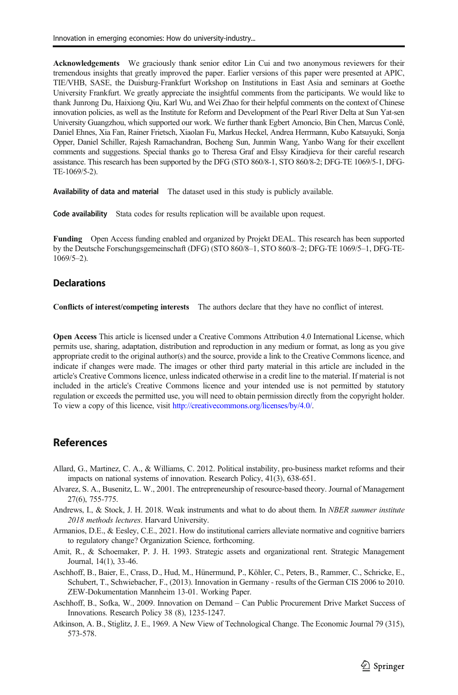<span id="page-36-0"></span>Acknowledgements We graciously thank senior editor Lin Cui and two anonymous reviewers for their tremendous insights that greatly improved the paper. Earlier versions of this paper were presented at APIC, TIE/VHB, SASE, the Duisburg-Frankfurt Workshop on Institutions in East Asia and seminars at Goethe University Frankfurt. We greatly appreciate the insightful comments from the participants. We would like to thank Junrong Du, Haixiong Qiu, Karl Wu, and Wei Zhao for their helpful comments on the context of Chinese innovation policies, as well as the Institute for Reform and Development of the Pearl River Delta at Sun Yat-sen University Guangzhou, which supported our work. We further thank Egbert Amoncio, Bin Chen, Marcus Conlé, Daniel Ehnes, Xia Fan, Rainer Frietsch, Xiaolan Fu, Markus Heckel, Andrea Herrmann, Kubo Katsuyuki, Sonja Opper, Daniel Schiller, Rajesh Ramachandran, Bocheng Sun, Junmin Wang, Yanbo Wang for their excellent comments and suggestions. Special thanks go to Theresa Graf and Elssy Kiradjieva for their careful research assistance. This research has been supported by the DFG (STO 860/8-1, STO 860/8-2; DFG-TE 1069/5-1, DFG-TE-1069/5-2).

Availability of data and material The dataset used in this study is publicly available.

Code availability Stata codes for results replication will be available upon request.

Funding Open Access funding enabled and organized by Projekt DEAL. This research has been supported by the Deutsche Forschungsgemeinschaft (DFG) (STO 860/8–1, STO 860/8–2; DFG-TE 1069/5–1, DFG-TE- $1069/5-2$ ).

### **Declarations**

Conflicts of interest/competing interests The authors declare that they have no conflict of interest.

Open Access This article is licensed under a Creative Commons Attribution 4.0 International License, which permits use, sharing, adaptation, distribution and reproduction in any medium or format, as long as you give appropriate credit to the original author(s) and the source, provide a link to the Creative Commons licence, and indicate if changes were made. The images or other third party material in this article are included in the article's Creative Commons licence, unless indicated otherwise in a credit line to the material. If material is not included in the article's Creative Commons licence and your intended use is not permitted by statutory regulation or exceeds the permitted use, you will need to obtain permission directly from the copyright holder. To view a copy of this licence, visit <http://creativecommons.org/licenses/by/4.0/>.

## References

- Allard, G., Martinez, C. A., & Williams, C. 2012. Political instability, pro-business market reforms and their impacts on national systems of innovation. Research Policy, 41(3), 638-651.
- Alvarez, S. A., Busenitz, L. W., 2001. The entrepreneurship of resource-based theory. Journal of Management 27(6), 755-775.
- Andrews, I., & Stock, J. H. 2018. Weak instruments and what to do about them. In *NBER summer institute* 2018 methods lectures. Harvard University.
- Armanios, D.E., & Eesley, C.E., 2021. How do institutional carriers alleviate normative and cognitive barriers to regulatory change? Organization Science, forthcoming.
- Amit, R., & Schoemaker, P. J. H. 1993. Strategic assets and organizational rent. Strategic Management Journal, 14(1), 33-46.
- Aschhoff, B., Baier, E., Crass, D., Hud, M., Hünermund, P., Köhler, C., Peters, B., Rammer, C., Schricke, E., Schubert, T., Schwiebacher, F., (2013). Innovation in Germany - results of the German CIS 2006 to 2010. ZEW-Dokumentation Mannheim 13-01. Working Paper.
- Aschhoff, B., Sofka, W., 2009. Innovation on Demand Can Public Procurement Drive Market Success of Innovations. Research Policy 38 (8), 1235-1247.
- Atkinson, A. B., Stiglitz, J. E., 1969. A New View of Technological Change. The Economic Journal 79 (315), 573-578.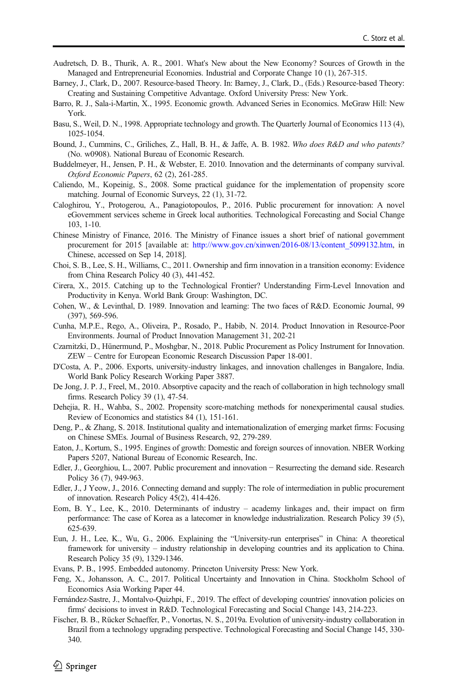- <span id="page-37-0"></span>Audretsch, D. B., Thurik, A. R., 2001. What's New about the New Economy? Sources of Growth in the Managed and Entrepreneurial Economies. Industrial and Corporate Change 10 (1), 267-315.
- Barney, J., Clark, D., 2007. Resource-based Theory. In: Barney, J., Clark, D., (Eds.) Resource-based Theory: Creating and Sustaining Competitive Advantage. Oxford University Press: New York.
- Barro, R. J., Sala-i-Martin, X., 1995. Economic growth. Advanced Series in Economics. McGraw Hill: New York.
- Basu, S., Weil, D. N., 1998. Appropriate technology and growth. The Quarterly Journal of Economics 113 (4), 1025-1054.
- Bound, J., Cummins, C., Griliches, Z., Hall, B. H., & Jaffe, A. B. 1982. Who does R&D and who patents? (No. w0908). National Bureau of Economic Research.
- Buddelmeyer, H., Jensen, P. H., & Webster, E. 2010. Innovation and the determinants of company survival. Oxford Economic Papers, 62 (2), 261-285.
- Caliendo, M., Kopeinig, S., 2008. Some practical guidance for the implementation of propensity score matching. Journal of Economic Surveys, 22 (1), 31-72.
- Caloghirou, Y., Protogerou, A., Panagiotopoulos, P., 2016. Public procurement for innovation: A novel eGovernment services scheme in Greek local authorities. Technological Forecasting and Social Change 103, 1-10.
- Chinese Ministry of Finance, 2016. The Ministry of Finance issues a short brief of national government procurement for 2015 [available at: [http://www.gov.cn/xinwen/2016-08/13/content\\_5099132.htm,](http://www.gov.cn/xinwen/2016-08/13/content_5099132.htm) in Chinese, accessed on Sep 14, 2018].
- Choi, S. B., Lee, S. H., Williams, C., 2011. Ownership and firm innovation in a transition economy: Evidence from China Research Policy 40 (3), 441-452.
- Cirera, X., 2015. Catching up to the Technological Frontier? Understanding Firm-Level Innovation and Productivity in Kenya. World Bank Group: Washington, DC.
- Cohen, W., & Levinthal, D. 1989. Innovation and learning: The two faces of R&D. Economic Journal, 99 (397), 569-596.
- Cunha, M.P.E., Rego, A., Oliveira, P., Rosado, P., Habib, N. 2014. Product Innovation in Resource-Poor Environments. Journal of Product Innovation Management 31, 202-21
- Czarnitzki, D., Hünermund, P., Moshgbar, N., 2018. Public Procurement as Policy Instrument for Innovation. ZEW – Centre for European Economic Research Discussion Paper 18-001.
- D'Costa, A. P., 2006. Exports, university-industry linkages, and innovation challenges in Bangalore, India. World Bank Policy Research Working Paper 3887.
- De Jong, J. P. J., Freel, M., 2010. Absorptive capacity and the reach of collaboration in high technology small firms. Research Policy 39 (1), 47-54.
- Dehejia, R. H., Wahba, S., 2002. Propensity score-matching methods for nonexperimental causal studies. Review of Economics and statistics 84 (1), 151-161.
- Deng, P., & Zhang, S. 2018. Institutional quality and internationalization of emerging market firms: Focusing on Chinese SMEs. Journal of Business Research, 92, 279-289.
- Eaton, J., Kortum, S., 1995. Engines of growth: Domestic and foreign sources of innovation. NBER Working Papers 5207, National Bureau of Economic Research, Inc.
- Edler, J., Georghiou, L., 2007. Public procurement and innovation − Resurrecting the demand side. Research Policy 36 (7), 949-963.
- Edler, J., J Yeow, J., 2016. Connecting demand and supply: The role of intermediation in public procurement of innovation. Research Policy 45(2), 414-426.
- Eom, B. Y., Lee, K., 2010. Determinants of industry academy linkages and, their impact on firm performance: The case of Korea as a latecomer in knowledge industrialization. Research Policy 39 (5), 625-639.
- Eun, J. H., Lee, K., Wu, G., 2006. Explaining the "University-run enterprises" in China: A theoretical framework for university – industry relationship in developing countries and its application to China. Research Policy 35 (9), 1329-1346.
- Evans, P. B., 1995. Embedded autonomy. Princeton University Press: New York.
- Feng, X., Johansson, A. C., 2017. Political Uncertainty and Innovation in China. Stockholm School of Economics Asia Working Paper 44.
- Fernández-Sastre, J., Montalvo-Quizhpi, F., 2019. The effect of developing countries' innovation policies on firms' decisions to invest in R&D. Technological Forecasting and Social Change 143, 214-223.
- Fischer, B. B., Rücker Schaeffer, P., Vonortas, N. S., 2019a. Evolution of university-industry collaboration in Brazil from a technology upgrading perspective. Technological Forecasting and Social Change 145, 330- 340.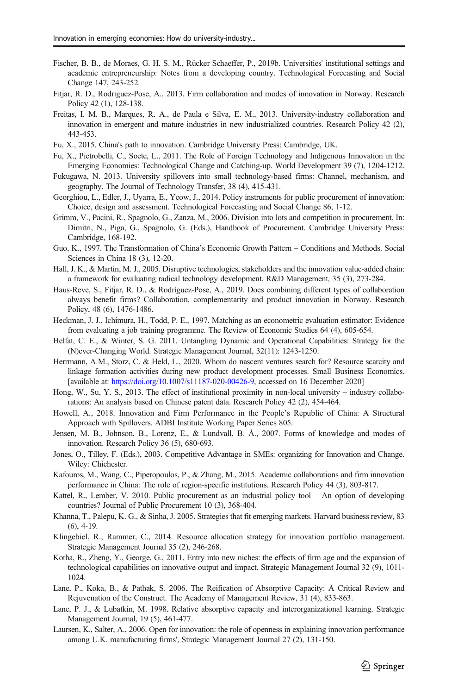- <span id="page-38-0"></span>Fischer, B. B., de Moraes, G. H. S. M., Rücker Schaeffer, P., 2019b. Universities' institutional settings and academic entrepreneurship: Notes from a developing country. Technological Forecasting and Social Change 147, 243-252.
- Fitiar, R. D., Rodriguez-Pose, A., 2013. Firm collaboration and modes of innovation in Norway. Research Policy 42 (1), 128-138.
- Freitas, I. M. B., Marques, R. A., de Paula e Silva, E. M., 2013. University-industry collaboration and innovation in emergent and mature industries in new industrialized countries. Research Policy 42 (2), 443-453.
- Fu, X., 2015. China's path to innovation. Cambridge University Press: Cambridge, UK.
- Fu, X., Pietrobelli, C., Soete, L., 2011. The Role of Foreign Technology and Indigenous Innovation in the Emerging Economies: Technological Change and Catching-up. World Development 39 (7), 1204-1212.
- Fukugawa, N. 2013. University spillovers into small technology-based firms: Channel, mechanism, and geography. The Journal of Technology Transfer, 38 (4), 415-431.
- Georghiou, L., Edler, J., Uyarra, E., Yeow, J., 2014. Policy instruments for public procurement of innovation: Choice, design and assessment. Technological Forecasting and Social Change 86, 1-12.
- Grimm, V., Pacini, R., Spagnolo, G., Zanza, M., 2006. Division into lots and competition in procurement. In: Dimitri, N., Piga, G., Spagnolo, G. (Eds.), Handbook of Procurement. Cambridge University Press: Cambridge, 168-192.
- Guo, K., 1997. The Transformation of China's Economic Growth Pattern Conditions and Methods. Social Sciences in China 18 (3), 12-20.
- Hall, J. K., & Martin, M. J., 2005. Disruptive technologies, stakeholders and the innovation value-added chain: a framework for evaluating radical technology development. R&D Management, 35 (3), 273-284.
- Haus-Reve, S., Fitjar, R. D., & Rodríguez-Pose, A., 2019. Does combining different types of collaboration always benefit firms? Collaboration, complementarity and product innovation in Norway. Research Policy, 48 (6), 1476-1486.
- Heckman, J. J., Ichimura, H., Todd, P. E., 1997. Matching as an econometric evaluation estimator: Evidence from evaluating a job training programme. The Review of Economic Studies 64 (4), 605-654.
- Helfat, C. E., & Winter, S. G. 2011. Untangling Dynamic and Operational Capabilities: Strategy for the (N)ever-Changing World. Strategic Management Journal, 32(11): 1243-1250.
- Herrmann, A.M., Storz, C. & Held, L., 2020. Whom do nascent ventures search for? Resource scarcity and linkage formation activities during new product development processes. Small Business Economics. [available at: [https://doi.org/10.1007/s11187-020-00426-9,](https://doi.org/10.1007/s11187-020-00426-9) accessed on 16 December 2020]
- Hong, W., Su, Y. S., 2013. The effect of institutional proximity in non-local university industry collaborations: An analysis based on Chinese patent data. Research Policy 42 (2), 454-464.
- Howell, A., 2018. Innovation and Firm Performance in the People's Republic of China: A Structural Approach with Spillovers. ADBI Institute Working Paper Series 805.
- Jensen, M. B., Johnson, B., Lorenz, E., & Lundvall, B. Å., 2007. Forms of knowledge and modes of innovation. Research Policy 36 (5), 680-693.
- Jones, O., Tilley, F. (Eds.), 2003. Competitive Advantage in SMEs: organizing for Innovation and Change. Wiley: Chichester.
- Kafouros, M., Wang, C., Piperopoulos, P., & Zhang, M., 2015. Academic collaborations and firm innovation performance in China: The role of region-specific institutions. Research Policy 44 (3), 803-817.
- Kattel, R., Lember, V. 2010. Public procurement as an industrial policy tool An option of developing countries? Journal of Public Procurement 10 (3), 368-404.
- Khanna, T., Palepu, K. G., & Sinha, J. 2005. Strategies that fit emerging markets. Harvard business review, 83 (6), 4-19.
- Klingebiel, R., Rammer, C., 2014. Resource allocation strategy for innovation portfolio management. Strategic Management Journal 35 (2), 246-268.
- Kotha, R., Zheng, Y., George, G., 2011. Entry into new niches: the effects of firm age and the expansion of technological capabilities on innovative output and impact. Strategic Management Journal 32 (9), 1011- 1024.
- Lane, P., Koka, B., & Pathak, S. 2006. The Reification of Absorptive Capacity: A Critical Review and Rejuvenation of the Construct. The Academy of Management Review, 31 (4), 833-863.
- Lane, P. J., & Lubatkin, M. 1998. Relative absorptive capacity and interorganizational learning. Strategic Management Journal, 19 (5), 461-477.
- Laursen, K., Salter, A., 2006. Open for innovation: the role of openness in explaining innovation performance among U.K. manufacturing firms', Strategic Management Journal 27 (2), 131-150.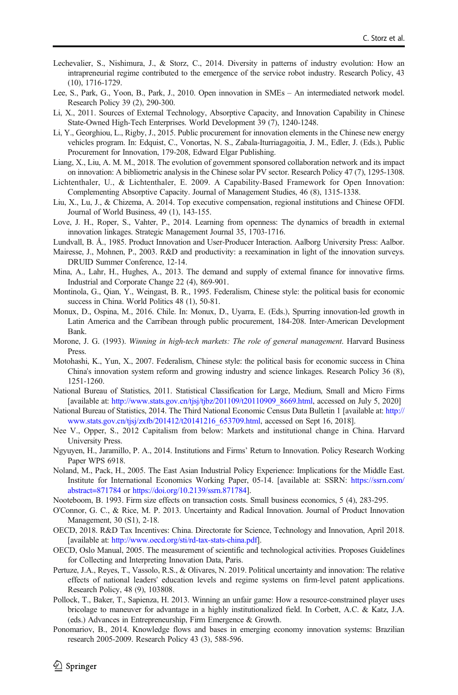- <span id="page-39-0"></span>Lechevalier, S., Nishimura, J., & Storz, C., 2014. Diversity in patterns of industry evolution: How an intrapreneurial regime contributed to the emergence of the service robot industry. Research Policy, 43 (10), 1716-1729.
- Lee, S., Park, G., Yoon, B., Park, J., 2010. Open innovation in SMEs An intermediated network model. Research Policy 39 (2), 290-300.
- Li, X., 2011. Sources of External Technology, Absorptive Capacity, and Innovation Capability in Chinese State-Owned High-Tech Enterprises. World Development 39 (7), 1240-1248.
- Li, Y., Georghiou, L., Rigby, J., 2015. Public procurement for innovation elements in the Chinese new energy vehicles program. In: Edquist, C., Vonortas, N. S., Zabala-Iturriagagoitia, J. M., Edler, J. (Eds.), Public Procurement for Innovation, 179-208, Edward Elgar Publishing.
- Liang, X., Liu, A. M. M., 2018. The evolution of government sponsored collaboration network and its impact on innovation: A bibliometric analysis in the Chinese solar PV sector. Research Policy 47 (7), 1295-1308.
- Lichtenthaler, U., & Lichtenthaler, E. 2009. A Capability-Based Framework for Open Innovation: Complementing Absorptive Capacity. Journal of Management Studies, 46 (8), 1315-1338.
- Liu, X., Lu, J., & Chizema, A. 2014. Top executive compensation, regional institutions and Chinese OFDI. Journal of World Business, 49 (1), 143-155.
- Love, J. H., Roper, S., Vahter, P., 2014. Learning from openness: The dynamics of breadth in external innovation linkages. Strategic Management Journal 35, 1703-1716.
- Lundvall, B. Å., 1985. Product Innovation and User-Producer Interaction. Aalborg University Press: Aalbor.
- Mairesse, J., Mohnen, P., 2003. R&D and productivity: a reexamination in light of the innovation surveys. DRUID Summer Conference, 12-14.
- Mina, A., Lahr, H., Hughes, A., 2013. The demand and supply of external finance for innovative firms. Industrial and Corporate Change 22 (4), 869-901.
- Montinola, G., Qian, Y., Weingast, B. R., 1995. Federalism, Chinese style: the political basis for economic success in China. World Politics 48 (1), 50-81.
- Monux, D., Ospina, M., 2016. Chile. In: Monux, D., Uyarra, E. (Eds.), Spurring innovation-led growth in Latin America and the Carribean through public procurement, 184-208. Inter-American Development Bank.
- Morone, J. G. (1993). Winning in high-tech markets: The role of general management. Harvard Business Press.
- Motohashi, K., Yun, X., 2007. Federalism, Chinese style: the political basis for economic success in China China's innovation system reform and growing industry and science linkages. Research Policy 36 (8), 1251-1260.
- National Bureau of Statistics, 2011. Statistical Classification for Large, Medium, Small and Micro Firms [available at: [http://www.stats.gov.cn/tjsj/tjbz/201109/t20110909\\_8669.html](http://www.stats.gov.cn/tjsj/tjbz/201109/t20110909_8669.html), accessed on July 5, 2020]
- National Bureau of Statistics, 2014. The Third National Economic Census Data Bulletin 1 [available at: [http://](http://www.stats.gov.cn/tjsj/zxfb/201412/t20141216_653709.html) [www.stats.gov.cn/tjsj/zxfb/201412/t20141216\\_653709.html,](http://www.stats.gov.cn/tjsj/zxfb/201412/t20141216_653709.html) accessed on Sept 16, 2018].
- Nee V., Opper, S., 2012 Capitalism from below: Markets and institutional change in China. Harvard University Press.
- Ngyuyen, H., Jaramillo, P. A., 2014. Institutions and Firms' Return to Innovation. Policy Research Working Paper WPS 6918.
- Noland, M., Pack, H., 2005. The East Asian Industrial Policy Experience: Implications for the Middle East. Institute for International Economics Working Paper, 05-14. [available at: SSRN: [https://ssrn.com/](https://ssrn.com/abstract=871784) [abstract=871784](https://ssrn.com/abstract=871784) or [https://doi.org/10.2139/ssrn.871784\]](https://doi.org/10.2139/ssrn.871784).
- Nooteboom, B. 1993. Firm size effects on transaction costs. Small business economics, 5 (4), 283-295.
- O'Connor, G. C., & Rice, M. P. 2013. Uncertainty and Radical Innovation. Journal of Product Innovation Management, 30 (S1), 2-18.
- OECD, 2018. R&D Tax Incentives: China. Directorate for Science, Technology and Innovation, April 2018. [available at: [http://www.oecd.org/sti/rd-tax-stats-china.pdf\]](http://www.oecd.org/sti/rd-tax-stats-china.pdf).
- OECD, Oslo Manual, 2005. The measurement of scientific and technological activities. Proposes Guidelines for Collecting and Interpreting Innovation Data, Paris.
- Pertuze, J.A., Reyes, T., Vassolo, R.S., & Olivares, N. 2019. Political uncertainty and innovation: The relative effects of national leaders' education levels and regime systems on firm-level patent applications. Research Policy, 48 (9), 103808.
- Pollock, T., Baker, T., Sapienza, H. 2013. Winning an unfair game: How a resource-constrained player uses bricolage to maneuver for advantage in a highly institutionalized field. In Corbett, A.C. & Katz, J.A. (eds.) Advances in Entrepreneurship, Firm Emergence & Growth.
- Ponomariov, B., 2014. Knowledge flows and bases in emerging economy innovation systems: Brazilian research 2005-2009. Research Policy 43 (3), 588-596.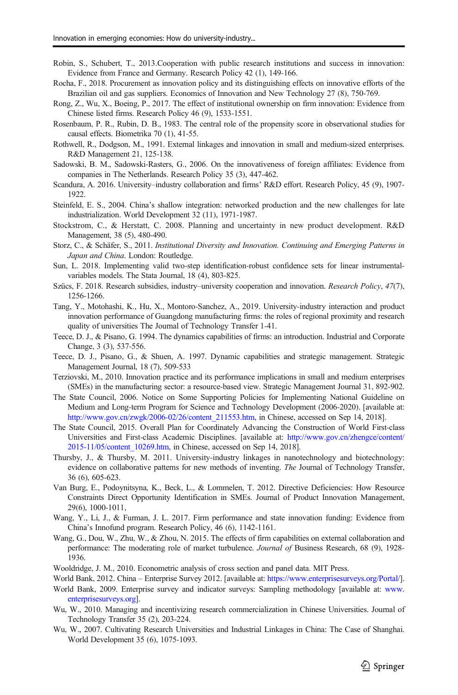- <span id="page-40-0"></span>Robin, S., Schubert, T., 2013.Cooperation with public research institutions and success in innovation: Evidence from France and Germany. Research Policy 42 (1), 149-166.
- Rocha, F., 2018. Procurement as innovation policy and its distinguishing effects on innovative efforts of the Brazilian oil and gas suppliers. Economics of Innovation and New Technology 27 (8), 750-769.
- Rong, Z., Wu, X., Boeing, P., 2017. The effect of institutional ownership on firm innovation: Evidence from Chinese listed firms. Research Policy 46 (9), 1533-1551.
- Rosenbaum, P. R., Rubin, D. B., 1983. The central role of the propensity score in observational studies for causal effects. Biometrika 70 (1), 41-55.
- Rothwell, R., Dodgson, M., 1991. External linkages and innovation in small and medium-sized enterprises. R&D Management 21, 125-138.
- Sadowski, B. M., Sadowski-Rasters, G., 2006. On the innovativeness of foreign affiliates: Evidence from companies in The Netherlands. Research Policy 35 (3), 447-462.
- Scandura, A. 2016. University–industry collaboration and firms' R&D effort. Research Policy, 45 (9), 1907- 1922.
- Steinfeld, E. S., 2004. China's shallow integration: networked production and the new challenges for late industrialization. World Development 32 (11), 1971-1987.
- Stockstrom, C., & Herstatt, C. 2008. Planning and uncertainty in new product development. R&D Management, 38 (5), 480-490.
- Storz, C., & Schäfer, S., 2011. Institutional Diversity and Innovation. Continuing and Emerging Patterns in Japan and China. London: Routledge.
- Sun, L. 2018. Implementing valid two-step identification-robust confidence sets for linear instrumentalvariables models. The Stata Journal, 18 (4), 803-825.
- Szücs, F. 2018. Research subsidies, industry–university cooperation and innovation. Research Policy, 47(7), 1256-1266.
- Tang, Y., Motohashi, K., Hu, X., Montoro-Sanchez, A., 2019. University-industry interaction and product innovation performance of Guangdong manufacturing firms: the roles of regional proximity and research quality of universities The Journal of Technology Transfer 1-41.
- Teece, D. J., & Pisano, G. 1994. The dynamics capabilities of firms: an introduction. Industrial and Corporate Change, 3 (3), 537-556.
- Teece, D. J., Pisano, G., & Shuen, A. 1997. Dynamic capabilities and strategic management. Strategic Management Journal, 18 (7), 509-533
- Terziovski, M., 2010. Innovation practice and its performance implications in small and medium enterprises (SMEs) in the manufacturing sector: a resource-based view. Strategic Management Journal 31, 892-902.
- The State Council, 2006. Notice on Some Supporting Policies for Implementing National Guideline on Medium and Long-term Program for Science and Technology Development (2006-2020). [available at: [http://www.gov.cn/zwgk/2006-02/26/content\\_211553.htm](http://www.gov.cn/zwgk/2006-02/26/content_211553.htm), in Chinese, accessed on Sep 14, 2018].
- The State Council, 2015. Overall Plan for Coordinately Advancing the Construction of World First-class Universities and First-class Academic Disciplines. [available at: [http://www.gov.cn/zhengce/content/](http://www.gov.cn/zhengce/content/2015-11/05/content_10269.htm) [2015-11/05/content\\_10269.htm](http://www.gov.cn/zhengce/content/2015-11/05/content_10269.htm), in Chinese, accessed on Sep 14, 2018].
- Thursby, J., & Thursby, M. 2011. University-industry linkages in nanotechnology and biotechnology: evidence on collaborative patterns for new methods of inventing. The Journal of Technology Transfer, 36 (6), 605-623.
- Van Burg, E., Podoynitsyna, K., Beck, L., & Lommelen, T. 2012. Directive Deficiencies: How Resource Constraints Direct Opportunity Identification in SMEs. Journal of Product Innovation Management, 29(6), 1000-1011,
- Wang, Y., Li, J., & Furman, J. L. 2017. Firm performance and state innovation funding: Evidence from China's Innofund program. Research Policy, 46 (6), 1142-1161.
- Wang, G., Dou, W., Zhu, W., & Zhou, N. 2015. The effects of firm capabilities on external collaboration and performance: The moderating role of market turbulence. Journal of Business Research, 68 (9), 1928- 1936.
- Wooldridge, J. M., 2010. Econometric analysis of cross section and panel data. MIT Press.
- World Bank, 2012. China Enterprise Survey 2012. [available at: [https://www.enterprisesurveys.org/Portal/\]](https://www.enterprisesurveys.org/Portal/).
- World Bank, 2009. Enterprise survey and indicator surveys: Sampling methodology [available at: [www.](http://www.enterprisesurveys.org) [enterprisesurveys.org](http://www.enterprisesurveys.org)].
- Wu, W., 2010. Managing and incentivizing research commercialization in Chinese Universities. Journal of Technology Transfer 35 (2), 203-224.
- Wu, W., 2007. Cultivating Research Universities and Industrial Linkages in China: The Case of Shanghai. World Development 35 (6), 1075-1093.